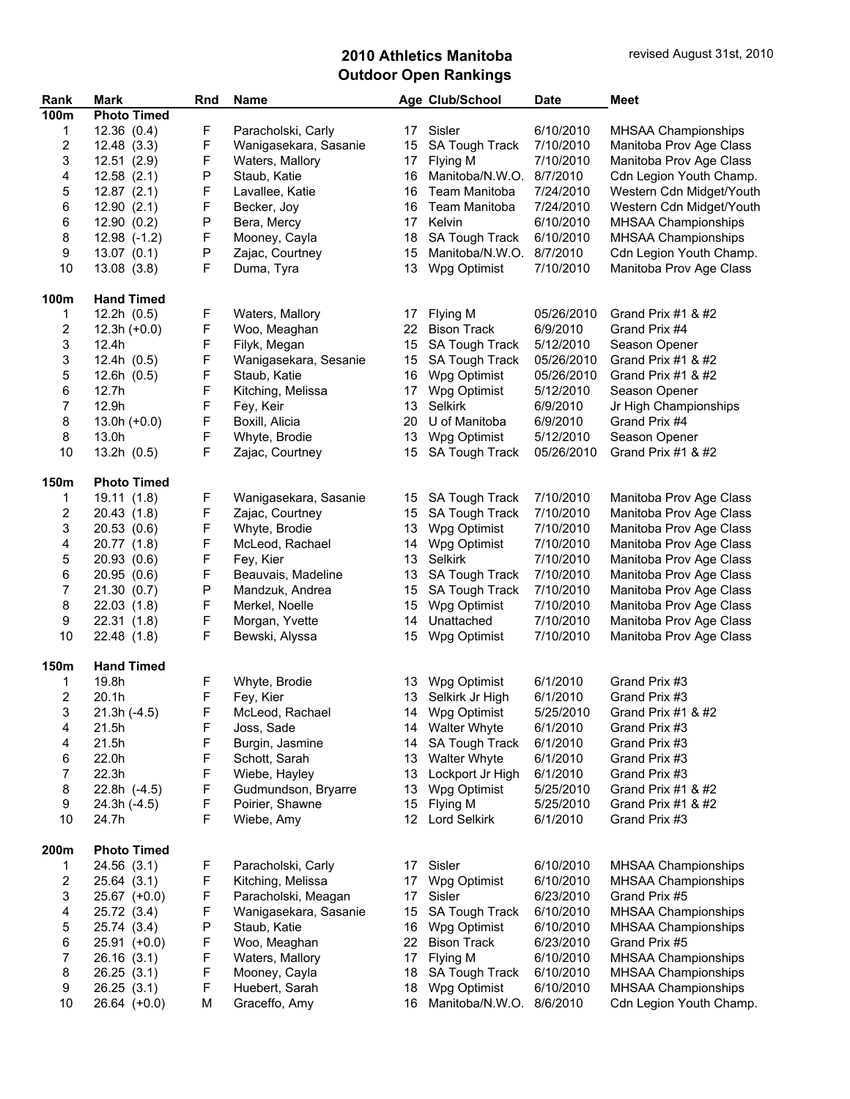| Rank        | <b>Mark</b>        | Rnd         | <b>Name</b>           |                  | Age Club/School       | <b>Date</b> | <b>Meet</b>                |
|-------------|--------------------|-------------|-----------------------|------------------|-----------------------|-------------|----------------------------|
| <b>100m</b> | <b>Photo Timed</b> |             |                       |                  |                       |             |                            |
| 1           | 12.36(0.4)         | F           | Paracholski, Carly    |                  | 17 Sisler             | 6/10/2010   | <b>MHSAA Championships</b> |
| 2           | 12.48(3.3)         | F           | Wanigasekara, Sasanie | 15               | <b>SA Tough Track</b> | 7/10/2010   | Manitoba Prov Age Class    |
| 3           | 12.51(2.9)         | F           | Waters, Mallory       | 17 <sup>2</sup>  | Flying M              | 7/10/2010   | Manitoba Prov Age Class    |
| 4           | 12.58(2.1)         | Ρ           | Staub, Katie          | 16               | Manitoba/N.W.O.       | 8/7/2010    | Cdn Legion Youth Champ.    |
| 5           | 12.87(2.1)         | F           | Lavallee, Katie       | 16               | Team Manitoba         | 7/24/2010   | Western Cdn Midget/Youth   |
| 6           | 12.90(2.1)         | F           | Becker, Joy           | 16               | Team Manitoba         | 7/24/2010   | Western Cdn Midget/Youth   |
| 6           | 12.90(0.2)         | P           | Bera, Mercy           | 17               | Kelvin                | 6/10/2010   | MHSAA Championships        |
| 8           | $12.98$ $(-1.2)$   | F           | Mooney, Cayla         | 18               | <b>SA Tough Track</b> | 6/10/2010   | MHSAA Championships        |
| 9           | 13.07(0.1)         | P           | Zajac, Courtney       | 15               | Manitoba/N.W.O.       | 8/7/2010    | Cdn Legion Youth Champ.    |
| 10          | 13.08(3.8)         | F           | Duma, Tyra            | 13               | Wpg Optimist          | 7/10/2010   | Manitoba Prov Age Class    |
| 100m        | <b>Hand Timed</b>  |             |                       |                  |                       |             |                            |
| 1           | 12.2h(0.5)         | F           | Waters, Mallory       | 17               | Flying M              | 05/26/2010  | Grand Prix #1 $&$ #2       |
| 2           | $12.3h (+0.0)$     | F           | Woo, Meaghan          |                  | 22 Bison Track        | 6/9/2010    | Grand Prix #4              |
| 3           | 12.4h              | F           | Filyk, Megan          | 15               | <b>SA Tough Track</b> | 5/12/2010   | Season Opener              |
| 3           | 12.4h(0.5)         | F           | Wanigasekara, Sesanie | 15               | SA Tough Track        | 05/26/2010  | Grand Prix #1 $8$ #2       |
| 5           | 12.6h(0.5)         | F           | Staub, Katie          | 16               | Wpg Optimist          | 05/26/2010  | Grand Prix #1 & #2         |
| 6           | 12.7h              | F           | Kitching, Melissa     | 17               | Wpg Optimist          | 5/12/2010   | Season Opener              |
| 7           | 12.9h              | F           | Fey, Keir             | 13               | Selkirk               | 6/9/2010    | Jr High Championships      |
| 8           | $13.0h (+0.0)$     | F           | Boxill, Alicia        | 20               | U of Manitoba         | 6/9/2010    | Grand Prix #4              |
| 8           | 13.0h              | F           | Whyte, Brodie         | 13               | Wpg Optimist          | 5/12/2010   | Season Opener              |
| 10          | 13.2h(0.5)         | F           | Zajac, Courtney       | 15               | SA Tough Track        | 05/26/2010  | Grand Prix #1 & #2         |
| 150m        | <b>Photo Timed</b> |             |                       |                  |                       |             |                            |
| 1           | 19.11 (1.8)        | F           | Wanigasekara, Sasanie | 15               | <b>SA Tough Track</b> | 7/10/2010   | Manitoba Prov Age Class    |
| 2           | 20.43(1.8)         | F           | Zajac, Courtney       | 15 <sup>15</sup> | <b>SA Tough Track</b> | 7/10/2010   | Manitoba Prov Age Class    |
| 3           | 20.53(0.6)         | F           | Whyte, Brodie         | 13               | Wpg Optimist          | 7/10/2010   | Manitoba Prov Age Class    |
| 4           | 20.77 (1.8)        | F           | McLeod, Rachael       | 14               | Wpg Optimist          | 7/10/2010   | Manitoba Prov Age Class    |
| 5           | 20.93(0.6)         | F           | Fey, Kier             | 13               | Selkirk               | 7/10/2010   | Manitoba Prov Age Class    |
| 6           | 20.95(0.6)         | F           | Beauvais, Madeline    | 13               | <b>SA Tough Track</b> | 7/10/2010   | Manitoba Prov Age Class    |
| 7           | 21.30(0.7)         | ${\sf P}$   | Mandzuk, Andrea       | 15               | <b>SA Tough Track</b> | 7/10/2010   | Manitoba Prov Age Class    |
| 8           | 22.03(1.8)         | F           | Merkel, Noelle        | 15               | Wpg Optimist          | 7/10/2010   | Manitoba Prov Age Class    |
| 9           | 22.31(1.8)         | F           | Morgan, Yvette        | 14               | Unattached            | 7/10/2010   | Manitoba Prov Age Class    |
| 10          | 22.48 (1.8)        | F           | Bewski, Alyssa        | 15               | Wpg Optimist          | 7/10/2010   | Manitoba Prov Age Class    |
| 150m        | <b>Hand Timed</b>  |             |                       |                  |                       |             |                            |
| 1           | 19.8h              | F           | Whyte, Brodie         |                  | 13 Wpg Optimist       | 6/1/2010    | Grand Prix #3              |
| 2           | 20.1h              | F           | Fey, Kier             |                  | 13 Selkirk Jr High    | 6/1/2010    | Grand Prix #3              |
| 3           | $21.3h(-4.5)$      | $\mathsf F$ | McLeod, Rachael       |                  | 14 Wpg Optimist       | 5/25/2010   | Grand Prix #1 & #2         |
| 4           | 21.5h              | F           | Joss, Sade            |                  | 14 Walter Whyte       | 6/1/2010    | Grand Prix #3              |
| 4           | 21.5h              | F           | Burgin, Jasmine       | 14               | SA Tough Track        | 6/1/2010    | Grand Prix #3              |
| 6           | 22.0h              | F           | Schott, Sarah         |                  | 13 Walter Whyte       | 6/1/2010    | Grand Prix #3              |
| 7           | 22.3h              | F           | Wiebe, Hayley         | 13               | Lockport Jr High      | 6/1/2010    | Grand Prix #3              |
| 8           | 22.8h (-4.5)       | F           | Gudmundson, Bryarre   | 13               | Wpg Optimist          | 5/25/2010   | Grand Prix #1 & #2         |
| 9           | 24.3h (-4.5)       | F           | Poirier, Shawne       | 15               | Flying M              | 5/25/2010   | Grand Prix #1 & #2         |
| 10          | 24.7h              | F           | Wiebe, Amy            | 12 <sup>12</sup> | <b>Lord Selkirk</b>   | 6/1/2010    | Grand Prix #3              |
|             |                    |             |                       |                  |                       |             |                            |
| 200m        | <b>Photo Timed</b> |             |                       |                  |                       |             |                            |
| 1           | 24.56(3.1)         | F           | Paracholski, Carly    | 17               | Sisler                | 6/10/2010   | MHSAA Championships        |
| 2           | 25.64(3.1)         | F           | Kitching, Melissa     | 17               | Wpg Optimist          | 6/10/2010   | <b>MHSAA Championships</b> |
| 3           | $25.67$ (+0.0)     | F           | Paracholski, Meagan   | 17               | Sisler                | 6/23/2010   | Grand Prix #5              |
| 4           | 25.72 (3.4)        | F           | Wanigasekara, Sasanie | 15               | <b>SA Tough Track</b> | 6/10/2010   | MHSAA Championships        |
| 5           | 25.74 (3.4)        | Ρ           | Staub, Katie          | 16               | Wpg Optimist          | 6/10/2010   | <b>MHSAA Championships</b> |
| 6           | 25.91 (+0.0)       | F           | Woo, Meaghan          | 22 <sub>2</sub>  | <b>Bison Track</b>    | 6/23/2010   | Grand Prix #5              |
| 7           | 26.16 (3.1)        | F<br>F      | Waters, Mallory       | 17               | Flying M              | 6/10/2010   | MHSAA Championships        |
| 8           | 26.25 (3.1)        | F           | Mooney, Cayla         | 18               | <b>SA Tough Track</b> | 6/10/2010   | MHSAA Championships        |
| 9           | 26.25(3.1)         |             | Huebert, Sarah        | 18               | Wpg Optimist          | 6/10/2010   | MHSAA Championships        |
| 10          | 26.64 (+0.0)       | M           | Graceffo, Amy         | 16               | Manitoba/N.W.O.       | 8/6/2010    | Cdn Legion Youth Champ.    |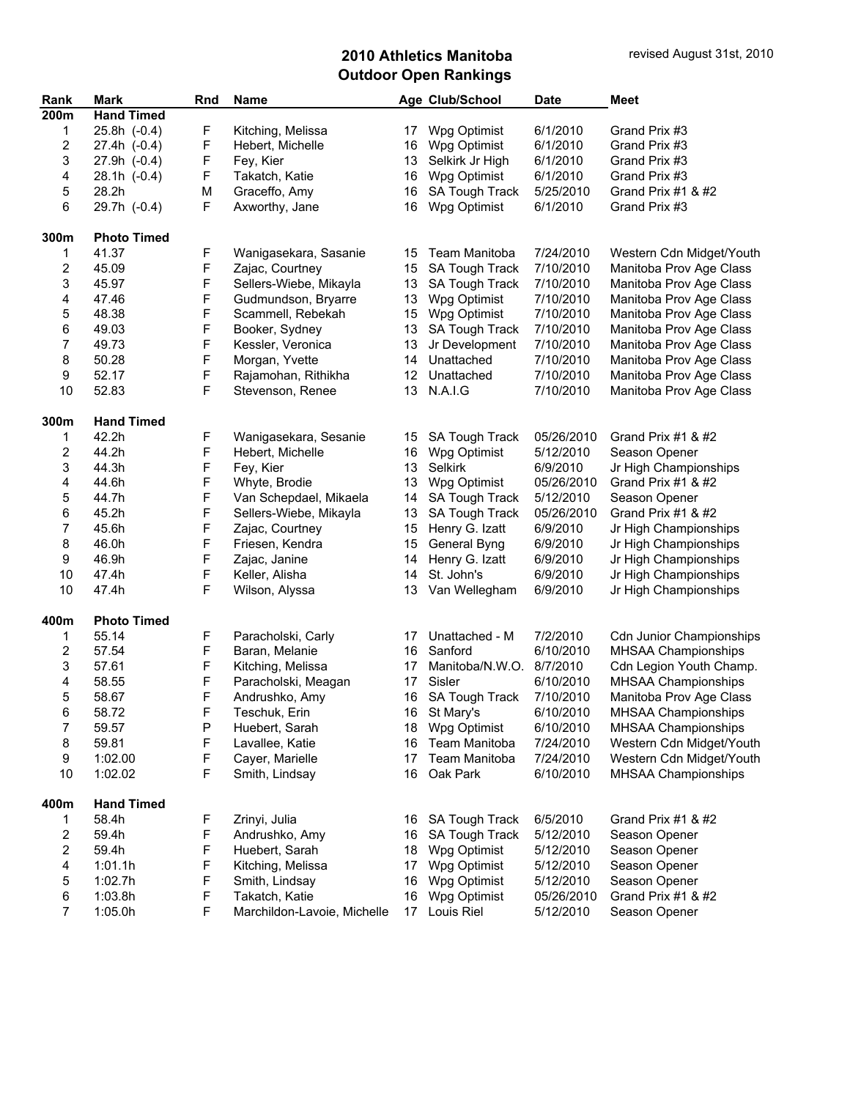| Rank                    | <b>Mark</b>        | Rnd         | Name                        |    | Age Club/School          | <b>Date</b> | Meet                            |
|-------------------------|--------------------|-------------|-----------------------------|----|--------------------------|-------------|---------------------------------|
| 200m                    | <b>Hand Timed</b>  |             |                             |    |                          |             |                                 |
| 1                       | 25.8h (-0.4)       | F           | Kitching, Melissa           | 17 | Wpg Optimist             | 6/1/2010    | Grand Prix #3                   |
| 2                       | 27.4h (-0.4)       | F           | Hebert, Michelle            | 16 | Wpg Optimist             | 6/1/2010    | Grand Prix #3                   |
| 3                       | 27.9h (-0.4)       | F           | Fey, Kier                   | 13 | Selkirk Jr High          | 6/1/2010    | Grand Prix #3                   |
| 4                       | $28.1h(-0.4)$      | F           | Takatch, Katie              | 16 | Wpg Optimist             | 6/1/2010    | Grand Prix #3                   |
| 5                       | 28.2h              | М           | Graceffo, Amy               | 16 | SA Tough Track           | 5/25/2010   | Grand Prix #1 & #2              |
| 6                       | 29.7h (-0.4)       | F           | Axworthy, Jane              | 16 | Wpg Optimist             | 6/1/2010    | Grand Prix #3                   |
| 300m                    | <b>Photo Timed</b> |             |                             |    |                          |             |                                 |
| 1                       | 41.37              | F           | Wanigasekara, Sasanie       | 15 | Team Manitoba            | 7/24/2010   | Western Cdn Midget/Youth        |
| 2                       | 45.09              | F           | Zajac, Courtney             | 15 | SA Tough Track           | 7/10/2010   | Manitoba Prov Age Class         |
| 3                       | 45.97              | F           | Sellers-Wiebe, Mikayla      | 13 | SA Tough Track           | 7/10/2010   | Manitoba Prov Age Class         |
| 4                       | 47.46              | F           | Gudmundson, Bryarre         | 13 | Wpg Optimist             | 7/10/2010   | Manitoba Prov Age Class         |
| 5                       | 48.38              | F           | Scammell, Rebekah           | 15 | Wpg Optimist             | 7/10/2010   | Manitoba Prov Age Class         |
| 6                       | 49.03              | F           | Booker, Sydney              | 13 | SA Tough Track           | 7/10/2010   | Manitoba Prov Age Class         |
| 7                       | 49.73              | F           | Kessler, Veronica           | 13 | Jr Development           | 7/10/2010   | Manitoba Prov Age Class         |
| 8                       | 50.28              | $\mathsf F$ | Morgan, Yvette              | 14 | Unattached               | 7/10/2010   | Manitoba Prov Age Class         |
| 9                       | 52.17              | $\mathsf F$ | Rajamohan, Rithikha         | 12 | Unattached               | 7/10/2010   | Manitoba Prov Age Class         |
| 10                      | 52.83              | F           | Stevenson, Renee            | 13 | N.A.I.G                  | 7/10/2010   | Manitoba Prov Age Class         |
| 300m                    | <b>Hand Timed</b>  |             |                             |    |                          |             |                                 |
| 1                       | 42.2h              | F           | Wanigasekara, Sesanie       | 15 | <b>SA Tough Track</b>    | 05/26/2010  | Grand Prix #1 $&$ #2            |
| 2                       | 44.2h              | F           | Hebert, Michelle            | 16 | Wpg Optimist             | 5/12/2010   | Season Opener                   |
| 3                       | 44.3h              | F           | Fey, Kier                   | 13 | Selkirk                  | 6/9/2010    | Jr High Championships           |
| 4                       | 44.6h              | F           | Whyte, Brodie               | 13 | Wpg Optimist             | 05/26/2010  | Grand Prix #1 & #2              |
| 5                       | 44.7h              | F           | Van Schepdael, Mikaela      | 14 | SA Tough Track           | 5/12/2010   | Season Opener                   |
| 6                       | 45.2h              | F           | Sellers-Wiebe, Mikayla      | 13 | <b>SA Tough Track</b>    | 05/26/2010  | Grand Prix #1 & #2              |
| 7                       | 45.6h              | F           | Zajac, Courtney             | 15 | Henry G. Izatt           | 6/9/2010    | Jr High Championships           |
| 8                       | 46.0h              | F           | Friesen, Kendra             | 15 | General Byng             | 6/9/2010    | Jr High Championships           |
| 9                       | 46.9h              | F           | Zajac, Janine               | 14 | Henry G. Izatt           | 6/9/2010    | Jr High Championships           |
| 10                      | 47.4h              | $\mathsf F$ | Keller, Alisha              | 14 | St. John's               | 6/9/2010    | Jr High Championships           |
| 10                      | 47.4h              | F           | Wilson, Alyssa              | 13 | Van Wellegham            | 6/9/2010    | Jr High Championships           |
| 400m                    | <b>Photo Timed</b> |             |                             |    |                          |             |                                 |
| 1                       | 55.14              | F           | Paracholski, Carly          | 17 | Unattached - M           | 7/2/2010    | <b>Cdn Junior Championships</b> |
| 2                       | 57.54              | $\mathsf F$ | Baran, Melanie              | 16 | Sanford                  | 6/10/2010   | MHSAA Championships             |
| 3                       | 57.61              | $\mathsf F$ | Kitching, Melissa           | 17 | Manitoba/N.W.O. 8/7/2010 |             | Cdn Legion Youth Champ.         |
| 4                       | 58.55              | F           | Paracholski, Meagan         | 17 | Sisler                   | 6/10/2010   | MHSAA Championships             |
| 5                       | 58.67              | F           | Andrushko, Amy              | 16 | SA Tough Track           | 7/10/2010   | Manitoba Prov Age Class         |
| 6                       | 58.72              | F           | Teschuk, Erin               |    | 16 St Mary's             | 6/10/2010   | MHSAA Championships             |
| 7                       | 59.57              | P           | Huebert, Sarah              |    | 18 Wpg Optimist          | 6/10/2010   | MHSAA Championships             |
| 8                       | 59.81              | F           | Lavallee, Katie             | 16 | Team Manitoba            | 7/24/2010   | Western Cdn Midget/Youth        |
| 9                       | 1:02.00            | F           | Cayer, Marielle             | 17 | Team Manitoba            | 7/24/2010   | Western Cdn Midget/Youth        |
| 10                      | 1:02.02            | F           | Smith, Lindsay              | 16 | Oak Park                 | 6/10/2010   | MHSAA Championships             |
| 400m                    | <b>Hand Timed</b>  |             |                             |    |                          |             |                                 |
| 1                       | 58.4h              | F           | Zrinyi, Julia               | 16 | <b>SA Tough Track</b>    | 6/5/2010    | Grand Prix #1 & #2              |
| 2                       | 59.4h              | F           | Andrushko, Amy              | 16 | SA Tough Track           | 5/12/2010   | Season Opener                   |
| $\overline{\mathbf{c}}$ | 59.4h              | F           | Huebert, Sarah              | 18 | Wpg Optimist             | 5/12/2010   | Season Opener                   |
| 4                       | 1:01.1h            | F           | Kitching, Melissa           | 17 | Wpg Optimist             | 5/12/2010   | Season Opener                   |
| 5                       | 1:02.7h            | F           | Smith, Lindsay              | 16 | Wpg Optimist             | 5/12/2010   | Season Opener                   |
| 6                       | 1:03.8h            | F           | Takatch, Katie              | 16 | Wpg Optimist             | 05/26/2010  | Grand Prix #1 & #2              |
| $\boldsymbol{7}$        | 1:05.0h            | F           | Marchildon-Lavoie, Michelle | 17 | Louis Riel               | 5/12/2010   | Season Opener                   |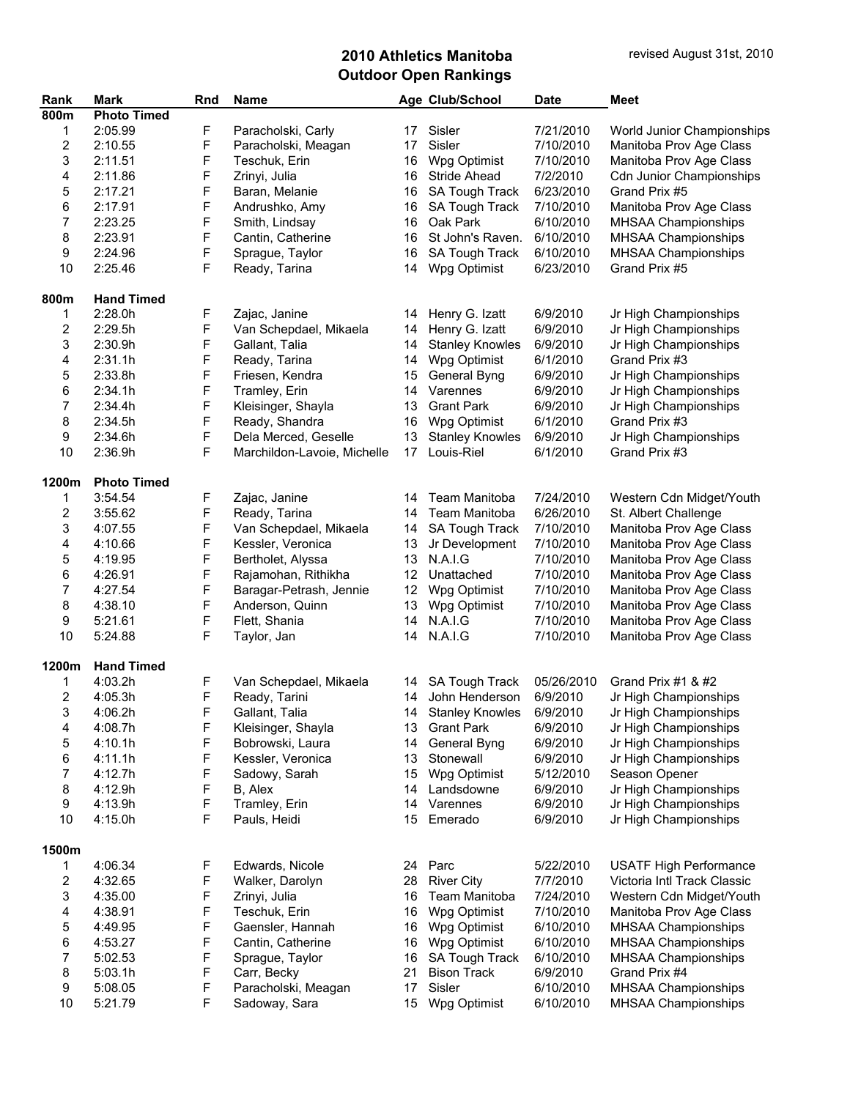| Rank                    | <b>Mark</b>        | Rnd    | <b>Name</b>                   |          | Age Club/School        | <b>Date</b>          | <b>Meet</b>                                    |
|-------------------------|--------------------|--------|-------------------------------|----------|------------------------|----------------------|------------------------------------------------|
| 800m                    | <b>Photo Timed</b> |        |                               |          |                        |                      |                                                |
| 1                       | 2:05.99            | F      | Paracholski, Carly            | 17       | Sisler                 | 7/21/2010            | World Junior Championships                     |
| $\overline{c}$          | 2:10.55            | F      | Paracholski, Meagan           | 17       | Sisler                 | 7/10/2010            | Manitoba Prov Age Class                        |
| 3                       | 2:11.51            | F      | Teschuk, Erin                 | 16       | Wpg Optimist           | 7/10/2010            | Manitoba Prov Age Class                        |
| 4                       | 2:11.86            | F      | Zrinyi, Julia                 | 16       | <b>Stride Ahead</b>    | 7/2/2010             | <b>Cdn Junior Championships</b>                |
| 5                       | 2:17.21            | F      | Baran, Melanie                | 16       | SA Tough Track         | 6/23/2010            | Grand Prix #5                                  |
|                         |                    |        |                               |          |                        |                      |                                                |
| 6                       | 2:17.91            | F      | Andrushko, Amy                | 16       | SA Tough Track         | 7/10/2010            | Manitoba Prov Age Class                        |
| $\overline{7}$          | 2:23.25            | F      | Smith, Lindsay                | 16       | Oak Park               | 6/10/2010            | <b>MHSAA Championships</b>                     |
| 8                       | 2:23.91            | F      | Cantin, Catherine             | 16       | St John's Raven.       | 6/10/2010            | MHSAA Championships                            |
| 9                       | 2:24.96            | F      | Sprague, Taylor               | 16       | SA Tough Track         | 6/10/2010            | MHSAA Championships                            |
| 10                      | 2:25.46            | F      | Ready, Tarina                 | 14       | Wpg Optimist           | 6/23/2010            | Grand Prix #5                                  |
| 800m                    | <b>Hand Timed</b>  |        |                               |          |                        |                      |                                                |
|                         | 2:28.0h            |        |                               |          |                        | 6/9/2010             |                                                |
| 1                       |                    | F      | Zajac, Janine                 | 14       | Henry G. Izatt         |                      | Jr High Championships                          |
| $\overline{\mathbf{c}}$ | 2:29.5h            | F      | Van Schepdael, Mikaela        | 14       | Henry G. Izatt         | 6/9/2010             | Jr High Championships                          |
| 3                       | 2:30.9h            | F      | Gallant, Talia                | 14       | <b>Stanley Knowles</b> | 6/9/2010             | Jr High Championships                          |
| 4                       | 2:31.1h            | F      | Ready, Tarina                 | 14       | Wpg Optimist           | 6/1/2010             | Grand Prix #3                                  |
| 5                       | 2:33.8h            | F      | Friesen, Kendra               | 15       | General Byng           | 6/9/2010             | Jr High Championships                          |
| 6                       | 2:34.1h            | F      | Tramley, Erin                 | 14       | Varennes               | 6/9/2010             | Jr High Championships                          |
| $\overline{7}$          | 2:34.4h            | F      | Kleisinger, Shayla            | 13       | <b>Grant Park</b>      | 6/9/2010             | Jr High Championships                          |
| 8                       | 2:34.5h            | F      | Ready, Shandra                | 16       | Wpg Optimist           | 6/1/2010             | Grand Prix #3                                  |
| 9                       | 2:34.6h            | F      | Dela Merced, Geselle          | 13       | <b>Stanley Knowles</b> | 6/9/2010             | Jr High Championships                          |
| 10                      | 2:36.9h            | F      | Marchildon-Lavoie, Michelle   | 17       | Louis-Riel             | 6/1/2010             | Grand Prix #3                                  |
|                         |                    |        |                               |          |                        |                      |                                                |
| 1200m                   | <b>Photo Timed</b> |        |                               |          |                        |                      |                                                |
| 1                       | 3:54.54            | F      | Zajac, Janine                 | 14       | Team Manitoba          | 7/24/2010            | Western Cdn Midget/Youth                       |
| $\overline{\mathbf{c}}$ | 3:55.62            | F      | Ready, Tarina                 | 14       | Team Manitoba          | 6/26/2010            | St. Albert Challenge                           |
| 3                       | 4:07.55            | F      | Van Schepdael, Mikaela        | 14       | SA Tough Track         | 7/10/2010            | Manitoba Prov Age Class                        |
| 4                       | 4:10.66            | F      | Kessler, Veronica             | 13       | Jr Development         | 7/10/2010            | Manitoba Prov Age Class                        |
| 5                       | 4:19.95            | F      | Bertholet, Alyssa             | 13       | <b>N.A.I.G</b>         | 7/10/2010            | Manitoba Prov Age Class                        |
| 6                       | 4:26.91            | F      | Rajamohan, Rithikha           | 12       | Unattached             | 7/10/2010            | Manitoba Prov Age Class                        |
| 7                       | 4:27.54            | F      | Baragar-Petrash, Jennie       | 12       | Wpg Optimist           | 7/10/2010            | Manitoba Prov Age Class                        |
| 8                       | 4:38.10            | F      | Anderson, Quinn               | 13       | Wpg Optimist           | 7/10/2010            | Manitoba Prov Age Class                        |
| 9                       | 5:21.61            | F      | Flett, Shania                 | 14       | N.A.I.G                | 7/10/2010            | Manitoba Prov Age Class                        |
| 10                      | 5:24.88            | F      | Taylor, Jan                   | 14       | N.A.I.G                | 7/10/2010            | Manitoba Prov Age Class                        |
|                         |                    |        |                               |          |                        |                      |                                                |
| 1200m                   | <b>Hand Timed</b>  |        |                               |          |                        |                      |                                                |
| 1                       | 4:03.2h            | F      | Van Schepdael, Mikaela        | 14       | <b>SA Tough Track</b>  | 05/26/2010           | Grand Prix #1 & #2                             |
| $\overline{\mathbf{c}}$ | 4:05.3h            | F      | Ready, Tarini                 | 14       | John Henderson         | 6/9/2010             | Jr High Championships                          |
| 3                       | 4:06.2h            | F      | Gallant, Talia                |          | 14 Stanley Knowles     | 6/9/2010             | Jr High Championships                          |
| 4                       | 4:08.7h            | F      | Kleisinger, Shayla            | 13       | <b>Grant Park</b>      | 6/9/2010             | Jr High Championships                          |
| 5                       | 4:10.1h            | F      | Bobrowski, Laura              | 14       | General Byng           | 6/9/2010             | Jr High Championships                          |
| 6                       | 4:11.1h            | F      | Kessler, Veronica             | 13       | Stonewall              | 6/9/2010             | Jr High Championships                          |
| 7                       | 4:12.7h            | F      |                               | 15       | Wpg Optimist           |                      | Season Opener                                  |
|                         |                    |        | Sadowy, Sarah                 |          |                        | 5/12/2010            |                                                |
| 8                       | 4:12.9h            | F      | B, Alex                       | 14       | Landsdowne             | 6/9/2010             | Jr High Championships                          |
| 9<br>10                 | 4:13.9h<br>4:15.0h | F<br>F | Tramley, Erin<br>Pauls, Heidi | 14<br>15 | Varennes<br>Emerado    | 6/9/2010<br>6/9/2010 | Jr High Championships<br>Jr High Championships |
|                         |                    |        |                               |          |                        |                      |                                                |
| 1500m                   |                    |        |                               |          |                        |                      |                                                |
| 1                       | 4:06.34            | F      | Edwards, Nicole               | 24       | Parc                   | 5/22/2010            | <b>USATF High Performance</b>                  |
| $\overline{\mathbf{c}}$ | 4:32.65            | F      | Walker, Darolyn               | 28       | <b>River City</b>      | 7/7/2010             | Victoria Intl Track Classic                    |
| 3                       | 4:35.00            | F      | Zrinyi, Julia                 | 16       | Team Manitoba          | 7/24/2010            | Western Cdn Midget/Youth                       |
| 4                       | 4:38.91            | F      | Teschuk, Erin                 | 16       | Wpg Optimist           | 7/10/2010            | Manitoba Prov Age Class                        |
|                         | 4:49.95            | F      | Gaensler, Hannah              | 16       | Wpg Optimist           | 6/10/2010            | MHSAA Championships                            |
| 5                       |                    |        |                               |          |                        |                      |                                                |
| 6                       | 4:53.27            | F      | Cantin, Catherine             | 16       | Wpg Optimist           | 6/10/2010            | MHSAA Championships                            |
| 7                       | 5:02.53            | F      | Sprague, Taylor               | 16       | SA Tough Track         | 6/10/2010            | MHSAA Championships                            |
| 8                       | 5:03.1h            | F      | Carr, Becky                   | 21       | <b>Bison Track</b>     | 6/9/2010             | Grand Prix #4                                  |
| 9                       | 5:08.05            | F      | Paracholski, Meagan           | 17       | Sisler                 | 6/10/2010            | MHSAA Championships                            |
| 10                      | 5:21.79            | F      | Sadoway, Sara                 | 15       | Wpg Optimist           | 6/10/2010            | MHSAA Championships                            |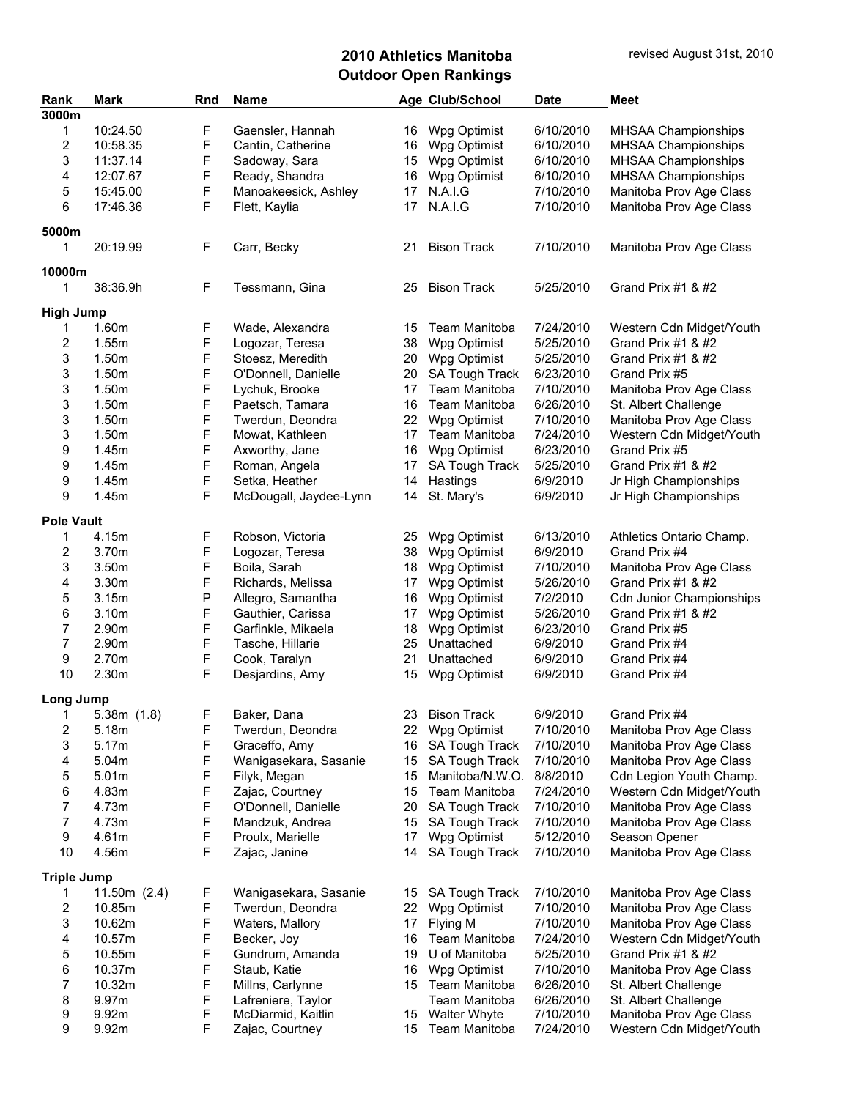| Rank                    | Mark              | Rnd         | Name                                     |    | Age Club/School       | <b>Date</b> | Meet                            |
|-------------------------|-------------------|-------------|------------------------------------------|----|-----------------------|-------------|---------------------------------|
| 3000m                   |                   |             |                                          |    |                       |             |                                 |
| 1                       | 10:24.50          | F           | Gaensler, Hannah                         |    | 16 Wpg Optimist       | 6/10/2010   | MHSAA Championships             |
| $\overline{\mathbf{c}}$ | 10:58.35          | F           | Cantin, Catherine                        | 16 | Wpg Optimist          | 6/10/2010   | MHSAA Championships             |
| 3                       | 11:37.14          | F           | Sadoway, Sara                            | 15 | Wpg Optimist          | 6/10/2010   | MHSAA Championships             |
| 4                       | 12:07.67          | F           | Ready, Shandra                           | 16 | Wpg Optimist          | 6/10/2010   | MHSAA Championships             |
| 5                       | 15:45.00          | $\mathsf F$ | Manoakeesick, Ashley                     | 17 | N.A.I.G               | 7/10/2010   | Manitoba Prov Age Class         |
| 6                       | 17:46.36          | F           | Flett, Kaylia                            | 17 | <b>N.A.I.G</b>        | 7/10/2010   | Manitoba Prov Age Class         |
|                         |                   |             |                                          |    |                       |             |                                 |
| 5000m                   |                   |             |                                          |    |                       |             |                                 |
| 1                       | 20:19.99          | F           | Carr, Becky                              | 21 | <b>Bison Track</b>    | 7/10/2010   | Manitoba Prov Age Class         |
|                         |                   |             |                                          |    |                       |             |                                 |
| 10000m                  |                   |             |                                          |    |                       |             |                                 |
| 1                       | 38:36.9h          | F           | Tessmann, Gina                           | 25 | <b>Bison Track</b>    | 5/25/2010   | Grand Prix #1 & #2              |
| <b>High Jump</b>        |                   |             |                                          |    |                       |             |                                 |
| 1                       | 1.60m             | F           | Wade, Alexandra                          | 15 | Team Manitoba         | 7/24/2010   |                                 |
|                         |                   |             |                                          |    |                       |             | Western Cdn Midget/Youth        |
| 2                       | 1.55m             | F           | Logozar, Teresa                          | 38 | Wpg Optimist          | 5/25/2010   | Grand Prix #1 & #2              |
| 3                       | 1.50m             | F           | Stoesz, Meredith                         | 20 | Wpg Optimist          | 5/25/2010   | Grand Prix #1 & #2              |
| 3                       | 1.50m             | F           | O'Donnell, Danielle                      | 20 | SA Tough Track        | 6/23/2010   | Grand Prix #5                   |
| 3                       | 1.50m             | $\mathsf F$ | Lychuk, Brooke                           | 17 | Team Manitoba         | 7/10/2010   | Manitoba Prov Age Class         |
| 3                       | 1.50m             | F           | Paetsch, Tamara                          | 16 | Team Manitoba         | 6/26/2010   | St. Albert Challenge            |
| 3                       | 1.50m             | F           | Twerdun, Deondra                         | 22 | Wpg Optimist          | 7/10/2010   | Manitoba Prov Age Class         |
| 3                       | 1.50m             | F           | Mowat, Kathleen                          | 17 | Team Manitoba         | 7/24/2010   | Western Cdn Midget/Youth        |
| 9                       | 1.45m             | F           | Axworthy, Jane                           | 16 | Wpg Optimist          | 6/23/2010   | Grand Prix #5                   |
| 9                       | 1.45m             | $\mathsf F$ | Roman, Angela                            | 17 | SA Tough Track        | 5/25/2010   | Grand Prix #1 & #2              |
| 9                       | 1.45m             | F           | Setka, Heather                           | 14 | Hastings              | 6/9/2010    | Jr High Championships           |
| 9                       | 1.45m             | F           | McDougall, Jaydee-Lynn                   | 14 | St. Mary's            | 6/9/2010    | Jr High Championships           |
|                         |                   |             |                                          |    |                       |             |                                 |
| <b>Pole Vault</b>       |                   |             |                                          |    |                       |             |                                 |
| 1                       | 4.15m             | F           | Robson, Victoria                         | 25 | Wpg Optimist          | 6/13/2010   | Athletics Ontario Champ.        |
| 2                       | 3.70m             | F           | Logozar, Teresa                          | 38 | Wpg Optimist          | 6/9/2010    | Grand Prix #4                   |
| 3                       | 3.50m             | F           | Boila, Sarah                             | 18 | Wpg Optimist          | 7/10/2010   | Manitoba Prov Age Class         |
| 4                       | 3.30m             | F           | Richards, Melissa                        | 17 | Wpg Optimist          | 5/26/2010   | Grand Prix #1 & #2              |
| 5                       | 3.15m             | P           | Allegro, Samantha                        | 16 | Wpg Optimist          | 7/2/2010    | <b>Cdn Junior Championships</b> |
| 6                       | 3.10m             | $\mathsf F$ | Gauthier, Carissa                        | 17 | Wpg Optimist          | 5/26/2010   | Grand Prix #1 & #2              |
| $\overline{7}$          | 2.90m             | $\mathsf F$ | Garfinkle, Mikaela                       | 18 | Wpg Optimist          | 6/23/2010   | Grand Prix #5                   |
| 7                       | 2.90m             | F           | Tasche, Hillarie                         | 25 | Unattached            | 6/9/2010    | Grand Prix #4                   |
| 9                       | 2.70m             | F           | Cook, Taralyn                            | 21 | Unattached            | 6/9/2010    | Grand Prix #4                   |
| 10                      | 2.30m             | F           | Desjardins, Amy                          | 15 | Wpg Optimist          | 6/9/2010    | Grand Prix #4                   |
|                         |                   |             |                                          |    |                       |             |                                 |
| Long Jump               |                   |             |                                          |    |                       |             |                                 |
| 1                       | 5.38m(1.8)        | F           | Baker, Dana                              | 23 | <b>Bison Track</b>    | 6/9/2010    | Grand Prix #4                   |
| $\overline{\mathbf{c}}$ | 5.18m             | F           | Twerdun, Deondra                         | 22 | Wpg Optimist          | 7/10/2010   | Manitoba Prov Age Class         |
| 3                       | 5.17m             | F           | Graceffo, Amy                            | 16 | SA Tough Track        | 7/10/2010   | Manitoba Prov Age Class         |
| 4                       | 5.04m             | F           | Wanigasekara, Sasanie                    | 15 | SA Tough Track        | 7/10/2010   | Manitoba Prov Age Class         |
| 5                       | 5.01 <sub>m</sub> | F           | Filyk, Megan                             | 15 | Manitoba/N.W.O.       | 8/8/2010    | Cdn Legion Youth Champ.         |
| 6                       | 4.83m             | F           | Zajac, Courtney                          | 15 | Team Manitoba         | 7/24/2010   | Western Cdn Midget/Youth        |
| 7                       | 4.73m             | F           | O'Donnell, Danielle                      | 20 | <b>SA Tough Track</b> | 7/10/2010   | Manitoba Prov Age Class         |
| $\boldsymbol{7}$        | 4.73m             | F           | Mandzuk, Andrea                          | 15 | SA Tough Track        | 7/10/2010   | Manitoba Prov Age Class         |
| 9                       | 4.61m             | F           | Proulx, Marielle                         | 17 | Wpg Optimist          | 5/12/2010   | Season Opener                   |
| 10                      | 4.56m             | F           | Zajac, Janine                            | 14 | SA Tough Track        | 7/10/2010   | Manitoba Prov Age Class         |
|                         |                   |             |                                          |    |                       |             |                                 |
| <b>Triple Jump</b>      |                   |             |                                          |    |                       |             |                                 |
| 1                       | 11.50 $m(2.4)$    | F           | Wanigasekara, Sasanie                    | 15 | <b>SA Tough Track</b> | 7/10/2010   | Manitoba Prov Age Class         |
| 2                       | 10.85m            | F           | Twerdun, Deondra                         | 22 | Wpg Optimist          | 7/10/2010   | Manitoba Prov Age Class         |
| 3                       | 10.62m            | $\mathsf F$ | Waters, Mallory                          | 17 | Flying M              | 7/10/2010   | Manitoba Prov Age Class         |
| 4                       | 10.57m            | F           | Becker, Joy                              | 16 | Team Manitoba         | 7/24/2010   | Western Cdn Midget/Youth        |
| 5                       | 10.55m            | F           | Gundrum, Amanda                          | 19 | U of Manitoba         | 5/25/2010   | Grand Prix #1 & #2              |
| 6                       | 10.37m            | F           | Staub, Katie                             | 16 | Wpg Optimist          | 7/10/2010   | Manitoba Prov Age Class         |
| 7                       | 10.32m            | F           | Millns, Carlynne                         | 15 | Team Manitoba         | 6/26/2010   | St. Albert Challenge            |
|                         | 9.97m             | F           |                                          |    | Team Manitoba         | 6/26/2010   | St. Albert Challenge            |
| 8<br>9                  | 9.92m             | F           | Lafreniere, Taylor<br>McDiarmid, Kaitlin | 15 | <b>Walter Whyte</b>   | 7/10/2010   | Manitoba Prov Age Class         |
| 9                       | 9.92m             | F           | Zajac, Courtney                          | 15 | Team Manitoba         | 7/24/2010   | Western Cdn Midget/Youth        |
|                         |                   |             |                                          |    |                       |             |                                 |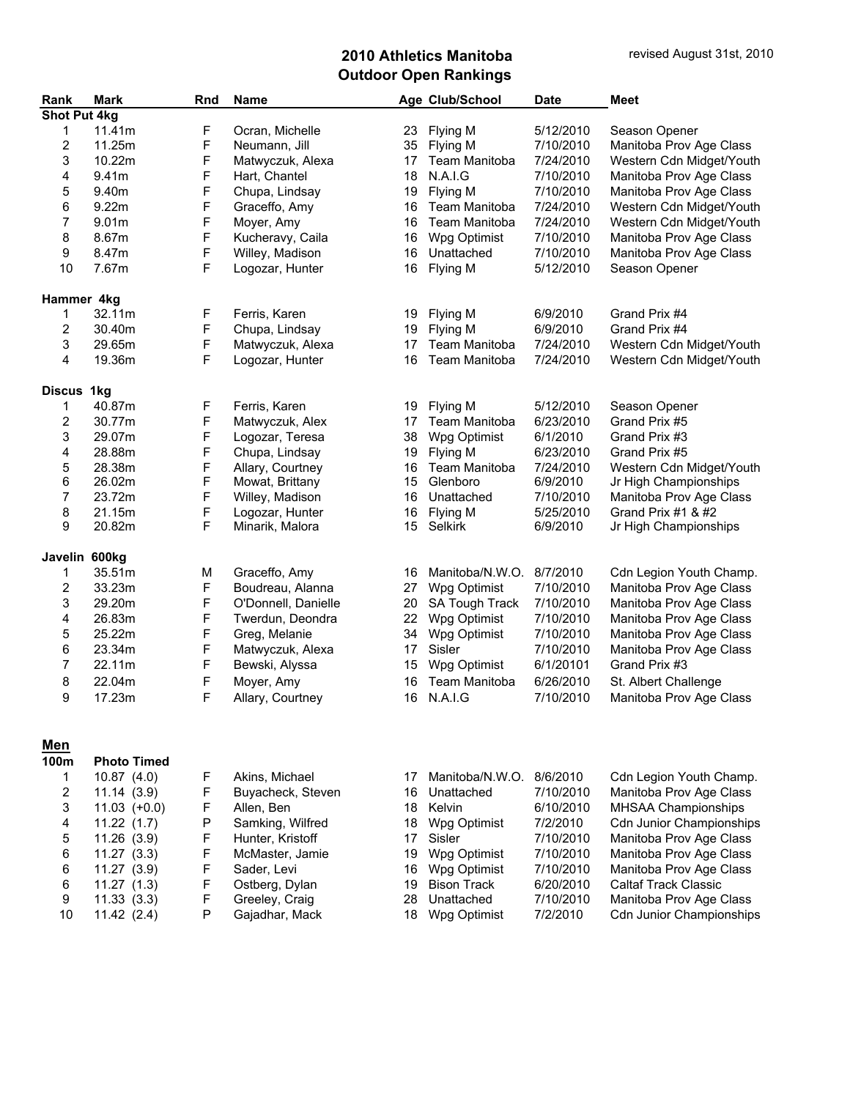| Rank                | <b>Mark</b>        | Rnd         | <b>Name</b>         |    | Age Club/School          | <b>Date</b> | <b>Meet</b>                     |
|---------------------|--------------------|-------------|---------------------|----|--------------------------|-------------|---------------------------------|
| <b>Shot Put 4kg</b> |                    |             |                     |    |                          |             |                                 |
| 1                   | 11.41m             | F           | Ocran, Michelle     | 23 | Flying M                 | 5/12/2010   | Season Opener                   |
| 2                   | 11.25m             | F           | Neumann, Jill       | 35 | Flying M                 | 7/10/2010   | Manitoba Prov Age Class         |
| 3                   | 10.22m             | F           | Matwyczuk, Alexa    | 17 | Team Manitoba            | 7/24/2010   | Western Cdn Midget/Youth        |
| 4                   | 9.41m              | F           | Hart, Chantel       | 18 | N.A.I.G                  | 7/10/2010   | Manitoba Prov Age Class         |
| 5                   | 9.40m              | F           | Chupa, Lindsay      | 19 | Flying M                 | 7/10/2010   | Manitoba Prov Age Class         |
| 6                   | 9.22m              | F           | Graceffo, Amy       | 16 | Team Manitoba            | 7/24/2010   | Western Cdn Midget/Youth        |
| 7                   | 9.01m              | F           | Moyer, Amy          | 16 | Team Manitoba            | 7/24/2010   | Western Cdn Midget/Youth        |
| 8                   | 8.67m              | F           | Kucheravy, Caila    | 16 | Wpg Optimist             | 7/10/2010   | Manitoba Prov Age Class         |
| 9                   | 8.47m              | F           | Willey, Madison     | 16 | Unattached               | 7/10/2010   | Manitoba Prov Age Class         |
| 10                  | 7.67m              | F           | Logozar, Hunter     | 16 | Flying M                 | 5/12/2010   | Season Opener                   |
| Hammer 4kg          |                    |             |                     |    |                          |             |                                 |
| 1                   | 32.11m             | F           | Ferris, Karen       | 19 | Flying M                 | 6/9/2010    | Grand Prix #4                   |
| 2                   | 30.40m             | F           | Chupa, Lindsay      | 19 | Flying M                 | 6/9/2010    | Grand Prix #4                   |
| 3                   | 29.65m             | F           | Matwyczuk, Alexa    | 17 | Team Manitoba            | 7/24/2010   | Western Cdn Midget/Youth        |
| 4                   | 19.36m             | F           | Logozar, Hunter     | 16 | Team Manitoba            | 7/24/2010   | Western Cdn Midget/Youth        |
| <b>Discus</b>       | 1kg                |             |                     |    |                          |             |                                 |
| 1                   | 40.87m             | F           | Ferris, Karen       | 19 | Flying M                 | 5/12/2010   | Season Opener                   |
| 2                   | 30.77m             | F           | Matwyczuk, Alex     | 17 | Team Manitoba            | 6/23/2010   | Grand Prix #5                   |
| 3                   | 29.07m             | F           | Logozar, Teresa     | 38 | Wpg Optimist             | 6/1/2010    | Grand Prix #3                   |
| 4                   | 28.88m             | F           | Chupa, Lindsay      | 19 | Flying M                 | 6/23/2010   | Grand Prix #5                   |
| 5                   | 28.38m             | F           | Allary, Courtney    | 16 | Team Manitoba            | 7/24/2010   | Western Cdn Midget/Youth        |
| 6                   | 26.02m             | F           | Mowat, Brittany     | 15 | Glenboro                 | 6/9/2010    | Jr High Championships           |
| 7                   | 23.72m             | F           | Willey, Madison     | 16 | Unattached               | 7/10/2010   | Manitoba Prov Age Class         |
| 8                   | 21.15m             | F           | Logozar, Hunter     | 16 | Flying M                 | 5/25/2010   | Grand Prix #1 & #2              |
| 9                   | 20.82m             | F           | Minarik, Malora     | 15 | Selkirk                  | 6/9/2010    | Jr High Championships           |
|                     |                    |             |                     |    |                          |             |                                 |
| Javelin 600kg       | 35.51m             | М           | Graceffo, Amy       | 16 | Manitoba/N.W.O.          | 8/7/2010    | Cdn Legion Youth Champ.         |
| 1<br>2              | 33.23m             | $\mathsf F$ | Boudreau, Alanna    | 27 | Wpg Optimist             | 7/10/2010   | Manitoba Prov Age Class         |
|                     |                    | F           |                     |    |                          |             |                                 |
| 3                   | 29.20m             | F           | O'Donnell, Danielle | 20 | SA Tough Track           | 7/10/2010   | Manitoba Prov Age Class         |
| 4                   | 26.83m             |             | Twerdun, Deondra    | 22 | Wpg Optimist             | 7/10/2010   | Manitoba Prov Age Class         |
| 5                   | 25.22m             | F           | Greg, Melanie       | 34 | Wpg Optimist             | 7/10/2010   | Manitoba Prov Age Class         |
| 6                   | 23.34m             | F           | Matwyczuk, Alexa    | 17 | Sisler                   | 7/10/2010   | Manitoba Prov Age Class         |
| 7                   | 22.11m             | F           | Bewski, Alyssa      | 15 | Wpg Optimist             | 6/1/20101   | Grand Prix #3                   |
| 8                   | 22.04m             | F           | Moyer, Amy          | 16 | Team Manitoba            | 6/26/2010   | St. Albert Challenge            |
| 9                   | 17.23m             | F           | Allary, Courtney    | 16 | N.A.I.G                  | 7/10/2010   | Manitoba Prov Age Class         |
|                     |                    |             |                     |    |                          |             |                                 |
| <u>Men</u><br>100m  | <b>Photo Timed</b> |             |                     |    |                          |             |                                 |
| 1                   | 10.87(4.0)         |             | Akins, Michael      | 17 | Manitoba/N.W.O. 8/6/2010 |             |                                 |
|                     |                    | F           |                     |    |                          |             | Cdn Legion Youth Champ.         |
| 2                   | 11.14(3.9)         | F           | Buyacheck, Steven   | 16 | Unattached               | 7/10/2010   | Manitoba Prov Age Class         |
| 3                   | $11.03$ $(+0.0)$   | F           | Allen, Ben          | 18 | Kelvin                   | 6/10/2010   | <b>MHSAA Championships</b>      |
| 4                   | 11.22(1.7)         | P           | Samking, Wilfred    | 18 | Wpg Optimist             | 7/2/2010    | <b>Cdn Junior Championships</b> |
| 5                   | 11.26(3.9)         | F           | Hunter, Kristoff    | 17 | Sisler                   | 7/10/2010   | Manitoba Prov Age Class         |
| 6                   | 11.27(3.3)         | F           | McMaster, Jamie     | 19 | Wpg Optimist             | 7/10/2010   | Manitoba Prov Age Class         |
| 6                   | 11.27(3.9)         | F           | Sader, Levi         | 16 | Wpg Optimist             | 7/10/2010   | Manitoba Prov Age Class         |
| 6                   | 11.27(1.3)         | F           | Ostberg, Dylan      | 19 | <b>Bison Track</b>       | 6/20/2010   | <b>Caltaf Track Classic</b>     |
| 9                   | 11.33(3.3)         | F           | Greeley, Craig      | 28 | Unattached               | 7/10/2010   | Manitoba Prov Age Class         |
| 10                  | 11.42(2.4)         | P           | Gajadhar, Mack      | 18 | Wpg Optimist             | 7/2/2010    | <b>Cdn Junior Championships</b> |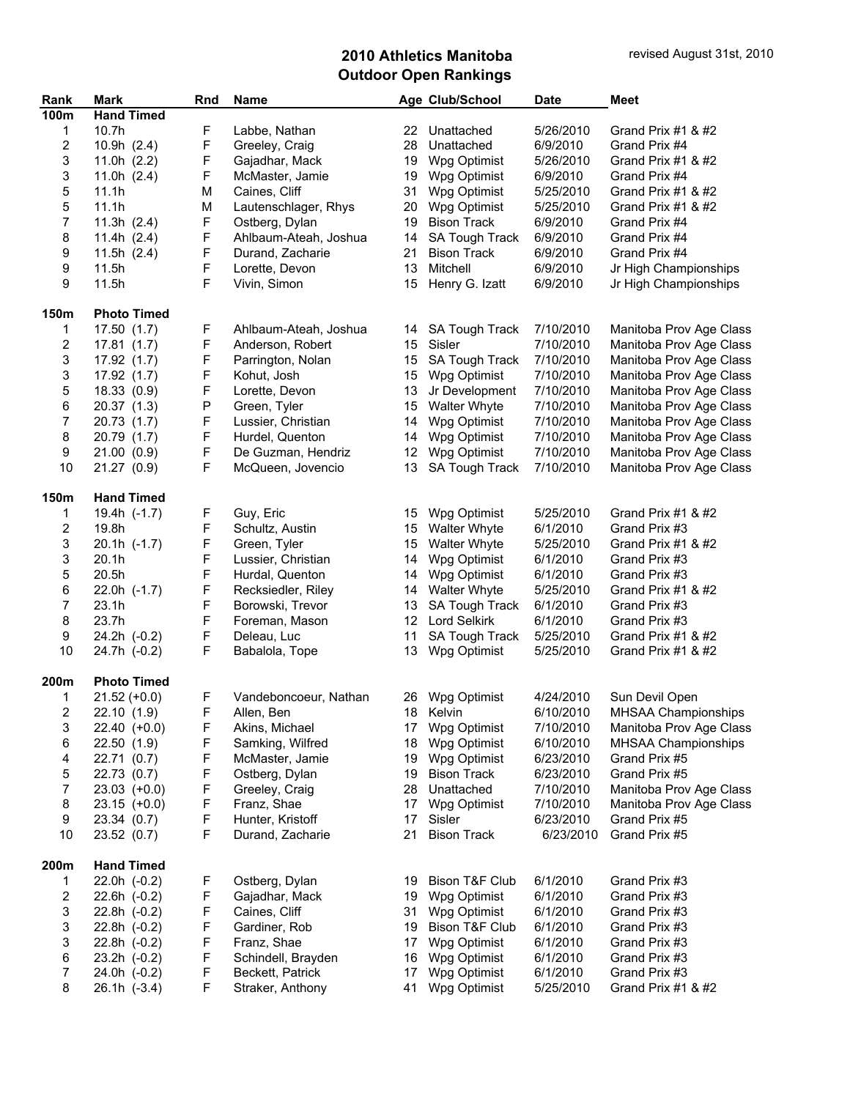| Rank<br>100m             | Mark<br><b>Hand Timed</b> | Rnd         | <b>Name</b>           |                   | Age Club/School           | <b>Date</b> | <b>Meet</b>                |
|--------------------------|---------------------------|-------------|-----------------------|-------------------|---------------------------|-------------|----------------------------|
| 1                        | 10.7h                     | F           | Labbe, Nathan         | 22                | Unattached                | 5/26/2010   | Grand Prix #1 & #2         |
| 2                        | 10.9h (2.4)               | F           | Greeley, Craig        | 28                | Unattached                | 6/9/2010    | Grand Prix #4              |
| 3                        | 11.0h $(2.2)$             | F           | Gajadhar, Mack        | 19                | Wpg Optimist              | 5/26/2010   | Grand Prix $#1$ & $#2$     |
| 3                        | 11.0h $(2.4)$             | F           | McMaster, Jamie       | 19                | Wpg Optimist              | 6/9/2010    | Grand Prix #4              |
| 5                        | 11.1h                     | M           | Caines, Cliff         | 31                | Wpg Optimist              | 5/25/2010   | Grand Prix #1 & #2         |
| 5                        | 11.1h                     | M           | Lautenschlager, Rhys  | 20                | Wpg Optimist              | 5/25/2010   | Grand Prix #1 & #2         |
| $\overline{\mathcal{I}}$ | 11.3h $(2.4)$             | F           | Ostberg, Dylan        | 19                | <b>Bison Track</b>        | 6/9/2010    | Grand Prix #4              |
| 8                        |                           | F           | Ahlbaum-Ateah, Joshua |                   | <b>SA Tough Track</b>     | 6/9/2010    | Grand Prix #4              |
|                          | 11.4h $(2.4)$             |             |                       | 14                |                           |             |                            |
| 9                        | 11.5h $(2.4)$             | F           | Durand, Zacharie      | 21                | <b>Bison Track</b>        | 6/9/2010    | Grand Prix #4              |
| 9                        | 11.5h                     | F           | Lorette, Devon        | 13                | Mitchell                  | 6/9/2010    | Jr High Championships      |
| 9                        | 11.5h                     | F           | Vivin, Simon          | 15                | Henry G. Izatt            | 6/9/2010    | Jr High Championships      |
| 150m                     | <b>Photo Timed</b>        |             |                       |                   |                           |             |                            |
| 1                        | 17.50(1.7)                | F           | Ahlbaum-Ateah, Joshua | 14                | <b>SA Tough Track</b>     | 7/10/2010   | Manitoba Prov Age Class    |
| 2                        | 17.81(1.7)                | F           | Anderson, Robert      | 15 <sup>15</sup>  | Sisler                    | 7/10/2010   | Manitoba Prov Age Class    |
| 3                        | 17.92 (1.7)               | F           | Parrington, Nolan     | 15                | SA Tough Track            | 7/10/2010   | Manitoba Prov Age Class    |
| 3                        | 17.92 (1.7)               | F           | Kohut, Josh           | 15                | Wpg Optimist              | 7/10/2010   | Manitoba Prov Age Class    |
| 5                        | 18.33 (0.9)               | F           | Lorette, Devon        | 13                | Jr Development            | 7/10/2010   | Manitoba Prov Age Class    |
| 6                        | 20.37 (1.3)               | Ρ           | Green, Tyler          | 15                | <b>Walter Whyte</b>       | 7/10/2010   | Manitoba Prov Age Class    |
| $\boldsymbol{7}$         | 20.73 (1.7)               | F           | Lussier, Christian    | 14                | Wpg Optimist              | 7/10/2010   | Manitoba Prov Age Class    |
| 8                        | 20.79 (1.7)               | F           | Hurdel, Quenton       | 14                | Wpg Optimist              | 7/10/2010   | Manitoba Prov Age Class    |
| 9                        | 21.00 (0.9)               | F           | De Guzman, Hendriz    | $12 \overline{ }$ | Wpg Optimist              | 7/10/2010   | Manitoba Prov Age Class    |
| 10                       | 21.27 (0.9)               | F           | McQueen, Jovencio     | 13                | SA Tough Track            | 7/10/2010   | Manitoba Prov Age Class    |
| 150m                     | <b>Hand Timed</b>         |             |                       |                   |                           |             |                            |
| 1                        | 19.4h (-1.7)              | F           | Guy, Eric             | 15                | Wpg Optimist              | 5/25/2010   | Grand Prix #1 & #2         |
| $\overline{\mathbf{c}}$  | 19.8h                     | F           | Schultz, Austin       | 15                | <b>Walter Whyte</b>       | 6/1/2010    | Grand Prix #3              |
| 3                        | $20.1h$ $(-1.7)$          | F           | Green, Tyler          | 15                | <b>Walter Whyte</b>       | 5/25/2010   | Grand Prix #1 & #2         |
| 3                        | 20.1h                     | F           | Lussier, Christian    | 14                | Wpg Optimist              | 6/1/2010    | Grand Prix #3              |
| 5                        | 20.5h                     | F           | Hurdal, Quenton       | 14                | Wpg Optimist              | 6/1/2010    | Grand Prix #3              |
| 6                        | 22.0h $(-1.7)$            | F           | Recksiedler, Riley    | 14                | <b>Walter Whyte</b>       | 5/25/2010   | Grand Prix #1 & #2         |
| $\overline{7}$           | 23.1h                     | F           | Borowski, Trevor      | 13                | SA Tough Track            | 6/1/2010    | Grand Prix #3              |
| 8                        | 23.7h                     | F           | Foreman, Mason        |                   | 12 Lord Selkirk           | 6/1/2010    | Grand Prix #3              |
| 9                        | 24.2h (-0.2)              | F           | Deleau, Luc           | 11                | SA Tough Track            | 5/25/2010   | Grand Prix $#1$ & $#2$     |
| 10                       | 24.7h (-0.2)              | F           | Babalola, Tope        | 13                | Wpg Optimist              | 5/25/2010   | Grand Prix #1 & #2         |
| 200m                     | <b>Photo Timed</b>        |             |                       |                   |                           |             |                            |
| 1                        | $21.52 (+0.0)$            | F           | Vandeboncoeur, Nathan |                   | 26 Wpg Optimist           | 4/24/2010   | Sun Devil Open             |
| 2                        | 22.10(1.9)                | $\mathsf F$ | Allen, Ben            |                   | 18 Kelvin                 | 6/10/2010   | <b>MHSAA Championships</b> |
| 3                        | $22.40 (+0.0)$            | F           | Akins, Michael        | 17                | Wpg Optimist              | 7/10/2010   | Manitoba Prov Age Class    |
| 6                        | 22.50 (1.9)               | F           | Samking, Wilfred      | 18                | Wpg Optimist              | 6/10/2010   | <b>MHSAA Championships</b> |
| 4                        | 22.71 (0.7)               | F           | McMaster, Jamie       | 19                | Wpg Optimist              | 6/23/2010   | Grand Prix #5              |
| 5                        | 22.73 (0.7)               | F           | Ostberg, Dylan        | 19                | <b>Bison Track</b>        | 6/23/2010   | Grand Prix #5              |
| $\overline{7}$           | $23.03$ (+0.0)            | F           | Greeley, Craig        | 28                | Unattached                | 7/10/2010   | Manitoba Prov Age Class    |
| 8                        | $23.15 (+0.0)$            | F           | Franz, Shae           | 17                | Wpg Optimist              | 7/10/2010   | Manitoba Prov Age Class    |
| 9                        | 23.34 (0.7)               | F           | Hunter, Kristoff      | 17                | Sisler                    | 6/23/2010   | Grand Prix #5              |
| 10                       | 23.52 (0.7)               | F           | Durand, Zacharie      | 21                | <b>Bison Track</b>        | 6/23/2010   | Grand Prix #5              |
| 200m                     | <b>Hand Timed</b>         |             |                       |                   |                           |             |                            |
| 1                        | $22.0h$ $(-0.2)$          | F           | Ostberg, Dylan        | 19                | <b>Bison T&amp;F Club</b> | 6/1/2010    | Grand Prix #3              |
| 2                        | $22.6h$ $(-0.2)$          | F           | Gajadhar, Mack        | 19                | Wpg Optimist              | 6/1/2010    | Grand Prix #3              |
| 3                        | $22.8h$ $(-0.2)$          | F           | Caines, Cliff         |                   | 31 Wpg Optimist           | 6/1/2010    | Grand Prix #3              |
| 3                        |                           | F           |                       |                   | <b>Bison T&amp;F Club</b> |             |                            |
|                          | 22.8h (-0.2)              | F           | Gardiner, Rob         | 19                |                           | 6/1/2010    | Grand Prix #3              |
| 3                        | 22.8h (-0.2)              |             | Franz, Shae           | 17                | Wpg Optimist              | 6/1/2010    | Grand Prix #3              |
| 6                        | $23.2h$ $(-0.2)$          | F           | Schindell, Brayden    | 16                | Wpg Optimist              | 6/1/2010    | Grand Prix #3              |
| 7                        | 24.0h (-0.2)              | F           | Beckett, Patrick      | 17                | Wpg Optimist              | 6/1/2010    | Grand Prix #3              |
| 8                        | $26.1h$ $(-3.4)$          | F           | Straker, Anthony      | 41                | Wpg Optimist              | 5/25/2010   | Grand Prix #1 & #2         |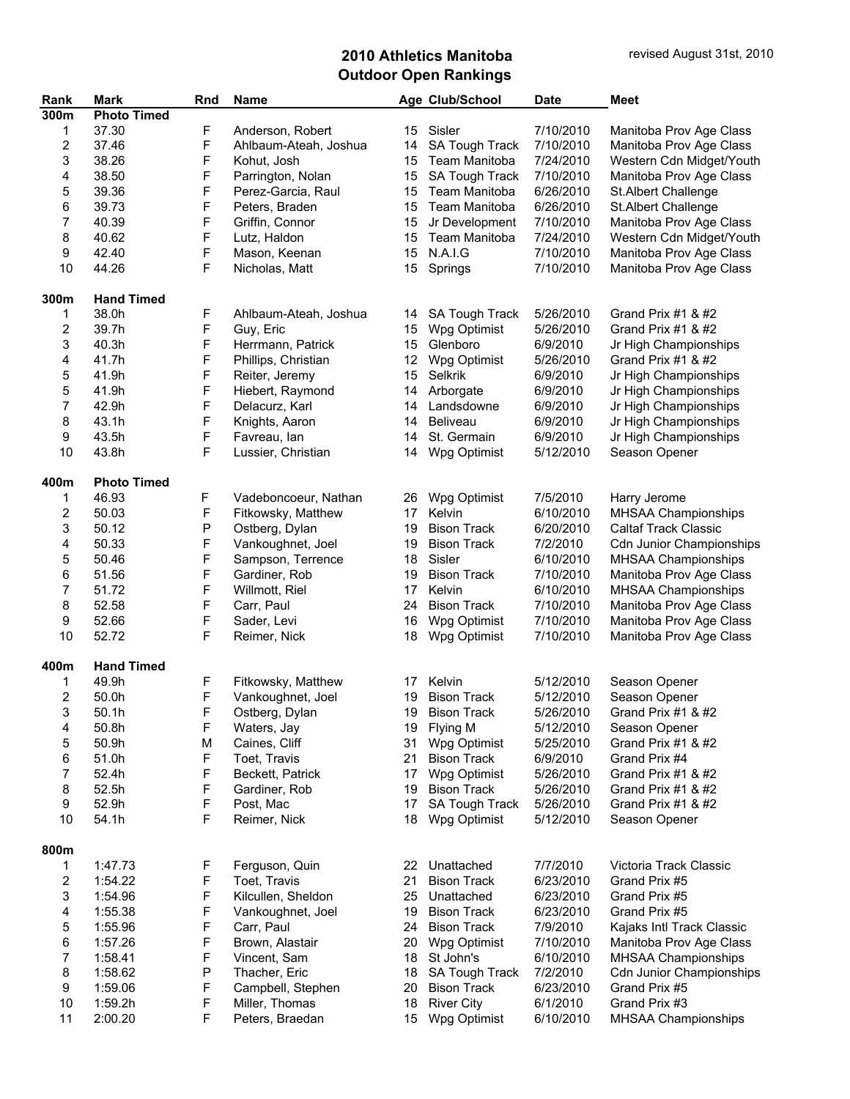| Rank                    | <b>Mark</b>        | Rnd         | <b>Name</b>           |    | Age Club/School       | <b>Date</b> | <b>Meet</b>                     |
|-------------------------|--------------------|-------------|-----------------------|----|-----------------------|-------------|---------------------------------|
| 300m                    | <b>Photo Timed</b> |             |                       |    |                       |             |                                 |
| 1                       | 37.30              | F           | Anderson, Robert      | 15 | Sisler                | 7/10/2010   | Manitoba Prov Age Class         |
| 2                       | 37.46              | F           | Ahlbaum-Ateah, Joshua | 14 | SA Tough Track        | 7/10/2010   | Manitoba Prov Age Class         |
| 3                       | 38.26              | F           | Kohut, Josh           | 15 | Team Manitoba         | 7/24/2010   | Western Cdn Midget/Youth        |
| 4                       | 38.50              | F           | Parrington, Nolan     | 15 | SA Tough Track        | 7/10/2010   | Manitoba Prov Age Class         |
| 5                       | 39.36              | F           | Perez-Garcia, Raul    | 15 | Team Manitoba         | 6/26/2010   | St.Albert Challenge             |
| 6                       | 39.73              | F           | Peters, Braden        | 15 | Team Manitoba         | 6/26/2010   | St.Albert Challenge             |
| 7                       | 40.39              | F           |                       |    |                       |             |                                 |
|                         |                    |             | Griffin, Connor       | 15 | Jr Development        | 7/10/2010   | Manitoba Prov Age Class         |
| 8                       | 40.62              | F           | Lutz, Haldon          | 15 | Team Manitoba         | 7/24/2010   | Western Cdn Midget/Youth        |
| 9                       | 42.40              | F           | Mason, Keenan         | 15 | N.A.I.G               | 7/10/2010   | Manitoba Prov Age Class         |
| 10                      | 44.26              | F           | Nicholas, Matt        | 15 | Springs               | 7/10/2010   | Manitoba Prov Age Class         |
|                         |                    |             |                       |    |                       |             |                                 |
| 300m                    | <b>Hand Timed</b>  |             |                       |    |                       |             |                                 |
| 1                       | 38.0h              | F           | Ahlbaum-Ateah, Joshua | 14 | <b>SA Tough Track</b> | 5/26/2010   | Grand Prix #1 & #2              |
| 2                       | 39.7h              | F           | Guy, Eric             | 15 | Wpg Optimist          | 5/26/2010   | Grand Prix #1 & #2              |
| 3                       | 40.3h              | F           | Herrmann, Patrick     | 15 | Glenboro              | 6/9/2010    | Jr High Championships           |
| 4                       | 41.7h              | F           | Phillips, Christian   | 12 | Wpg Optimist          | 5/26/2010   | Grand Prix #1 & #2              |
| 5                       | 41.9h              | F           | Reiter, Jeremy        | 15 | Selkrik               | 6/9/2010    | Jr High Championships           |
| 5                       | 41.9h              | F           | Hiebert, Raymond      | 14 | Arborgate             | 6/9/2010    | Jr High Championships           |
| 7                       | 42.9h              | F           | Delacurz, Karl        | 14 | Landsdowne            | 6/9/2010    | Jr High Championships           |
| 8                       | 43.1h              | F           | Knights, Aaron        | 14 | Beliveau              | 6/9/2010    | Jr High Championships           |
| 9                       | 43.5h              | F           | Favreau, lan          | 14 | St. Germain           | 6/9/2010    | Jr High Championships           |
| 10                      | 43.8h              | F           | Lussier, Christian    | 14 | Wpg Optimist          | 5/12/2010   | Season Opener                   |
|                         |                    |             |                       |    |                       |             |                                 |
| 400m                    | <b>Photo Timed</b> |             |                       |    |                       |             |                                 |
| 1                       | 46.93              | F           | Vadeboncoeur, Nathan  | 26 | Wpg Optimist          | 7/5/2010    | Harry Jerome                    |
| 2                       | 50.03              | F           | Fitkowsky, Matthew    | 17 | Kelvin                | 6/10/2010   | MHSAA Championships             |
| 3                       | 50.12              | ${\sf P}$   | Ostberg, Dylan        | 19 | <b>Bison Track</b>    | 6/20/2010   | <b>Caltaf Track Classic</b>     |
| 4                       | 50.33              | F           | Vankoughnet, Joel     | 19 | <b>Bison Track</b>    | 7/2/2010    | <b>Cdn Junior Championships</b> |
| 5                       | 50.46              | F           | Sampson, Terrence     | 18 | Sisler                | 6/10/2010   | MHSAA Championships             |
| 6                       | 51.56              | F           | Gardiner, Rob         | 19 | <b>Bison Track</b>    | 7/10/2010   | Manitoba Prov Age Class         |
| 7                       | 51.72              | F           | Willmott, Riel        | 17 | Kelvin                | 6/10/2010   | MHSAA Championships             |
| 8                       | 52.58              | F           | Carr, Paul            | 24 | <b>Bison Track</b>    | 7/10/2010   | Manitoba Prov Age Class         |
| 9                       | 52.66              | F           |                       | 16 |                       |             |                                 |
|                         |                    |             | Sader, Levi           |    | Wpg Optimist          | 7/10/2010   | Manitoba Prov Age Class         |
| 10                      | 52.72              | F           | Reimer, Nick          | 18 | Wpg Optimist          | 7/10/2010   | Manitoba Prov Age Class         |
| 400m                    | <b>Hand Timed</b>  |             |                       |    |                       |             |                                 |
| 1                       | 49.9h              | F           | Fitkowsky, Matthew    | 17 | Kelvin                | 5/12/2010   | Season Opener                   |
| 2                       | 50.0h              | F           |                       | 19 | <b>Bison Track</b>    | 5/12/2010   |                                 |
|                         |                    |             | Vankoughnet, Joel     |    |                       |             | Season Opener                   |
| 3                       | 50.1h              | F           | Ostberg, Dylan        |    | 19 Bison Track        | 5/26/2010   | Grand Prix #1 & #2              |
| 4                       | 50.8h              | F           | Waters, Jay           | 19 | Flying M              | 5/12/2010   | Season Opener                   |
| 5                       | 50.9h              | М           | Caines, Cliff         | 31 | Wpg Optimist          | 5/25/2010   | Grand Prix #1 & #2              |
| 6                       | 51.0h              | $\mathsf F$ | Toet, Travis          | 21 | <b>Bison Track</b>    | 6/9/2010    | Grand Prix #4                   |
| 7                       | 52.4h              | F           | Beckett, Patrick      | 17 | Wpg Optimist          | 5/26/2010   | Grand Prix #1 & #2              |
| 8                       | 52.5h              | F           | Gardiner, Rob         | 19 | <b>Bison Track</b>    | 5/26/2010   | Grand Prix #1 & #2              |
| 9                       | 52.9h              | F           | Post, Mac             | 17 | SA Tough Track        | 5/26/2010   | Grand Prix #1 & #2              |
| 10                      | 54.1h              | F           | Reimer, Nick          | 18 | Wpg Optimist          | 5/12/2010   | Season Opener                   |
|                         |                    |             |                       |    |                       |             |                                 |
| 800m                    |                    |             |                       |    |                       |             |                                 |
| 1                       | 1:47.73            | F           | Ferguson, Quin        | 22 | Unattached            | 7/7/2010    | Victoria Track Classic          |
| $\overline{\mathbf{c}}$ | 1:54.22            | F           | Toet, Travis          | 21 | <b>Bison Track</b>    | 6/23/2010   | Grand Prix #5                   |
| 3                       | 1:54.96            | F           | Kilcullen, Sheldon    | 25 | Unattached            | 6/23/2010   | Grand Prix #5                   |
| 4                       | 1:55.38            | F           | Vankoughnet, Joel     | 19 | <b>Bison Track</b>    | 6/23/2010   | Grand Prix #5                   |
| 5                       | 1:55.96            | F           | Carr, Paul            | 24 | <b>Bison Track</b>    | 7/9/2010    | Kajaks Intl Track Classic       |
| 6                       | 1:57.26            | F           | Brown, Alastair       | 20 | Wpg Optimist          | 7/10/2010   | Manitoba Prov Age Class         |
| 7                       | 1:58.41            | F           | Vincent, Sam          | 18 | St John's             | 6/10/2010   | MHSAA Championships             |
| 8                       | 1:58.62            | ${\sf P}$   | Thacher, Eric         | 18 | SA Tough Track        | 7/2/2010    | <b>Cdn Junior Championships</b> |
| 9                       | 1:59.06            | F           | Campbell, Stephen     | 20 | <b>Bison Track</b>    | 6/23/2010   | Grand Prix #5                   |
| 10                      | 1:59.2h            | F           | Miller, Thomas        | 18 | <b>River City</b>     | 6/1/2010    | Grand Prix #3                   |
| 11                      | 2:00.20            | F           | Peters, Braedan       | 15 | Wpg Optimist          | 6/10/2010   | MHSAA Championships             |
|                         |                    |             |                       |    |                       |             |                                 |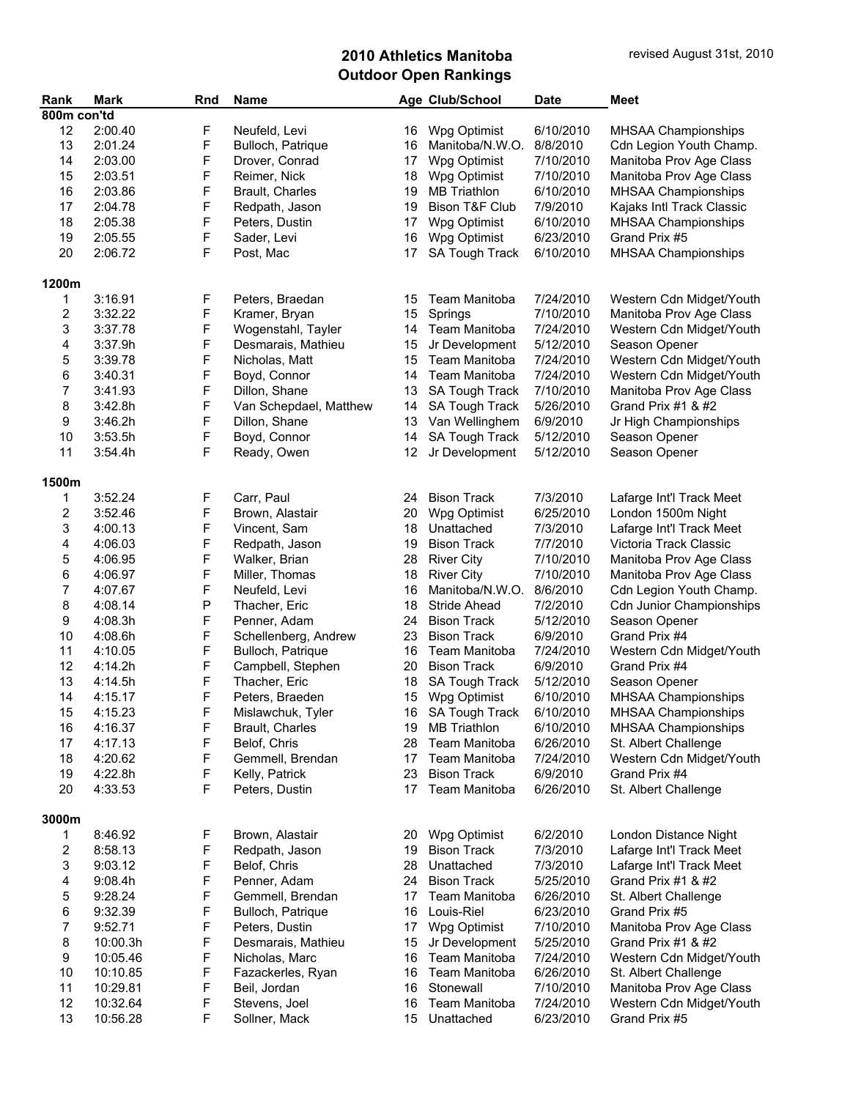| Rank        | <b>Mark</b> | Rnd | Name                   |    | Age Club/School           | <b>Date</b> | <b>Meet</b>                     |
|-------------|-------------|-----|------------------------|----|---------------------------|-------------|---------------------------------|
| 800m con'td |             |     |                        |    |                           |             |                                 |
| 12          | 2:00.40     | F   | Neufeld, Levi          | 16 | Wpg Optimist              | 6/10/2010   | MHSAA Championships             |
| 13          | 2:01.24     | F   | Bulloch, Patrique      | 16 | Manitoba/N.W.O.           | 8/8/2010    | Cdn Legion Youth Champ.         |
| 14          | 2:03.00     | F   | Drover, Conrad         | 17 | Wpg Optimist              | 7/10/2010   | Manitoba Prov Age Class         |
| 15          | 2:03.51     | F   | Reimer, Nick           | 18 | Wpg Optimist              | 7/10/2010   | Manitoba Prov Age Class         |
| 16          |             | F   | Brault, Charles        | 19 | <b>MB</b> Triathlon       | 6/10/2010   |                                 |
|             | 2:03.86     |     |                        |    |                           |             | MHSAA Championships             |
| 17          | 2:04.78     | F   | Redpath, Jason         | 19 | <b>Bison T&amp;F Club</b> | 7/9/2010    | Kajaks Intl Track Classic       |
| 18          | 2:05.38     | F   | Peters, Dustin         | 17 | Wpg Optimist              | 6/10/2010   | MHSAA Championships             |
| 19          | 2:05.55     | F   | Sader, Levi            | 16 | Wpg Optimist              | 6/23/2010   | Grand Prix #5                   |
| 20          | 2:06.72     | F   | Post, Mac              | 17 | SA Tough Track            | 6/10/2010   | MHSAA Championships             |
|             |             |     |                        |    |                           |             |                                 |
| 1200m       |             |     |                        |    |                           |             |                                 |
| 1           | 3:16.91     | F   | Peters, Braedan        | 15 | Team Manitoba             | 7/24/2010   | Western Cdn Midget/Youth        |
| 2           | 3:32.22     | F   | Kramer, Bryan          | 15 | Springs                   | 7/10/2010   | Manitoba Prov Age Class         |
| 3           | 3:37.78     | F   | Wogenstahl, Tayler     | 14 | Team Manitoba             | 7/24/2010   | Western Cdn Midget/Youth        |
| 4           | 3:37.9h     | F   | Desmarais, Mathieu     | 15 | Jr Development            | 5/12/2010   | Season Opener                   |
| 5           | 3:39.78     | F   | Nicholas, Matt         | 15 | Team Manitoba             | 7/24/2010   | Western Cdn Midget/Youth        |
| 6           | 3:40.31     | F   | Boyd, Connor           | 14 | <b>Team Manitoba</b>      | 7/24/2010   | Western Cdn Midget/Youth        |
| 7           | 3:41.93     | F   | Dillon, Shane          | 13 | SA Tough Track            | 7/10/2010   | Manitoba Prov Age Class         |
| 8           | 3:42.8h     | F   | Van Schepdael, Matthew | 14 | <b>SA Tough Track</b>     | 5/26/2010   | Grand Prix #1 & #2              |
| 9           | 3:46.2h     | F   | Dillon, Shane          | 13 | Van Wellinghem            | 6/9/2010    | Jr High Championships           |
| 10          | 3:53.5h     | F   | Boyd, Connor           | 14 | SA Tough Track            | 5/12/2010   | Season Opener                   |
| 11          | 3:54.4h     | F   | Ready, Owen            | 12 | Jr Development            | 5/12/2010   | Season Opener                   |
|             |             |     |                        |    |                           |             |                                 |
| 1500m       |             |     |                        |    |                           |             |                                 |
|             |             |     |                        |    |                           |             |                                 |
| 1           | 3:52.24     | F   | Carr, Paul             | 24 | <b>Bison Track</b>        | 7/3/2010    | Lafarge Int'l Track Meet        |
| 2           | 3:52.46     | F   | Brown, Alastair        | 20 | Wpg Optimist              | 6/25/2010   | London 1500m Night              |
| 3           | 4:00.13     | F   | Vincent, Sam           | 18 | Unattached                | 7/3/2010    | Lafarge Int'l Track Meet        |
| 4           | 4:06.03     | F   | Redpath, Jason         | 19 | <b>Bison Track</b>        | 7/7/2010    | Victoria Track Classic          |
| 5           | 4:06.95     | F   | Walker, Brian          | 28 | <b>River City</b>         | 7/10/2010   | Manitoba Prov Age Class         |
| 6           | 4:06.97     | F   | Miller, Thomas         | 18 | <b>River City</b>         | 7/10/2010   | Manitoba Prov Age Class         |
| 7           | 4:07.67     | F   | Neufeld, Levi          | 16 | Manitoba/N.W.O.           | 8/6/2010    | Cdn Legion Youth Champ.         |
| 8           | 4:08.14     | Ρ   | Thacher, Eric          | 18 | Stride Ahead              | 7/2/2010    | <b>Cdn Junior Championships</b> |
| 9           | 4:08.3h     | F   | Penner, Adam           | 24 | <b>Bison Track</b>        | 5/12/2010   | Season Opener                   |
| 10          | 4:08.6h     | F   | Schellenberg, Andrew   | 23 | <b>Bison Track</b>        | 6/9/2010    | Grand Prix #4                   |
| 11          | 4:10.05     | F   | Bulloch, Patrique      | 16 | Team Manitoba             | 7/24/2010   | Western Cdn Midget/Youth        |
| 12          | 4:14.2h     | F   | Campbell, Stephen      | 20 | <b>Bison Track</b>        | 6/9/2010    | Grand Prix #4                   |
| 13          | 4:14.5h     | F   | Thacher, Eric          | 18 | SA Tough Track            | 5/12/2010   | Season Opener                   |
| 14          | 4:15.17     | F   | Peters, Braeden        | 15 | Wpg Optimist              | 6/10/2010   | MHSAA Championships             |
| 15          | 4:15.23     | F   | Mislawchuk, Tyler      |    | 16 SA Tough Track         | 6/10/2010   | MHSAA Championships             |
| 16          | 4:16.37     | F   | Brault, Charles        | 19 | <b>MB Triathlon</b>       | 6/10/2010   | MHSAA Championships             |
| 17          | 4:17.13     | F   | Belof, Chris           | 28 | Team Manitoba             | 6/26/2010   | St. Albert Challenge            |
| 18          | 4:20.62     | F   | Gemmell, Brendan       | 17 | <b>Team Manitoba</b>      | 7/24/2010   | Western Cdn Midget/Youth        |
| 19          | 4:22.8h     | F   | Kelly, Patrick         | 23 | <b>Bison Track</b>        | 6/9/2010    | Grand Prix #4                   |
| 20          | 4:33.53     | F   | Peters, Dustin         | 17 | Team Manitoba             | 6/26/2010   | St. Albert Challenge            |
|             |             |     |                        |    |                           |             |                                 |
| 3000m       |             |     |                        |    |                           |             |                                 |
| 1           | 8:46.92     | F   | Brown, Alastair        | 20 | Wpg Optimist              | 6/2/2010    | London Distance Night           |
|             |             | F   | Redpath, Jason         | 19 | <b>Bison Track</b>        |             | Lafarge Int'l Track Meet        |
| 2           | 8:58.13     |     |                        |    | Unattached                | 7/3/2010    |                                 |
| 3           | 9:03.12     | F   | Belof, Chris           | 28 |                           | 7/3/2010    | Lafarge Int'l Track Meet        |
| 4           | 9:08.4h     | F   | Penner, Adam           | 24 | <b>Bison Track</b>        | 5/25/2010   | Grand Prix #1 & #2              |
| 5           | 9:28.24     | F   | Gemmell, Brendan       | 17 | Team Manitoba             | 6/26/2010   | St. Albert Challenge            |
| 6           | 9:32.39     | F   | Bulloch, Patrique      | 16 | Louis-Riel                | 6/23/2010   | Grand Prix #5                   |
| 7           | 9:52.71     | F   | Peters, Dustin         | 17 | Wpg Optimist              | 7/10/2010   | Manitoba Prov Age Class         |
| 8           | 10:00.3h    | F   | Desmarais, Mathieu     | 15 | Jr Development            | 5/25/2010   | Grand Prix #1 & #2              |
| 9           | 10:05.46    | F   | Nicholas, Marc         | 16 | Team Manitoba             | 7/24/2010   | Western Cdn Midget/Youth        |
| 10          | 10:10.85    | F   | Fazackerles, Ryan      | 16 | Team Manitoba             | 6/26/2010   | St. Albert Challenge            |
| 11          | 10:29.81    | F   | Beil, Jordan           | 16 | Stonewall                 | 7/10/2010   | Manitoba Prov Age Class         |
| 12          | 10:32.64    | F   | Stevens, Joel          | 16 | Team Manitoba             | 7/24/2010   | Western Cdn Midget/Youth        |
| 13          | 10:56.28    | F   | Sollner, Mack          | 15 | Unattached                | 6/23/2010   | Grand Prix #5                   |
|             |             |     |                        |    |                           |             |                                 |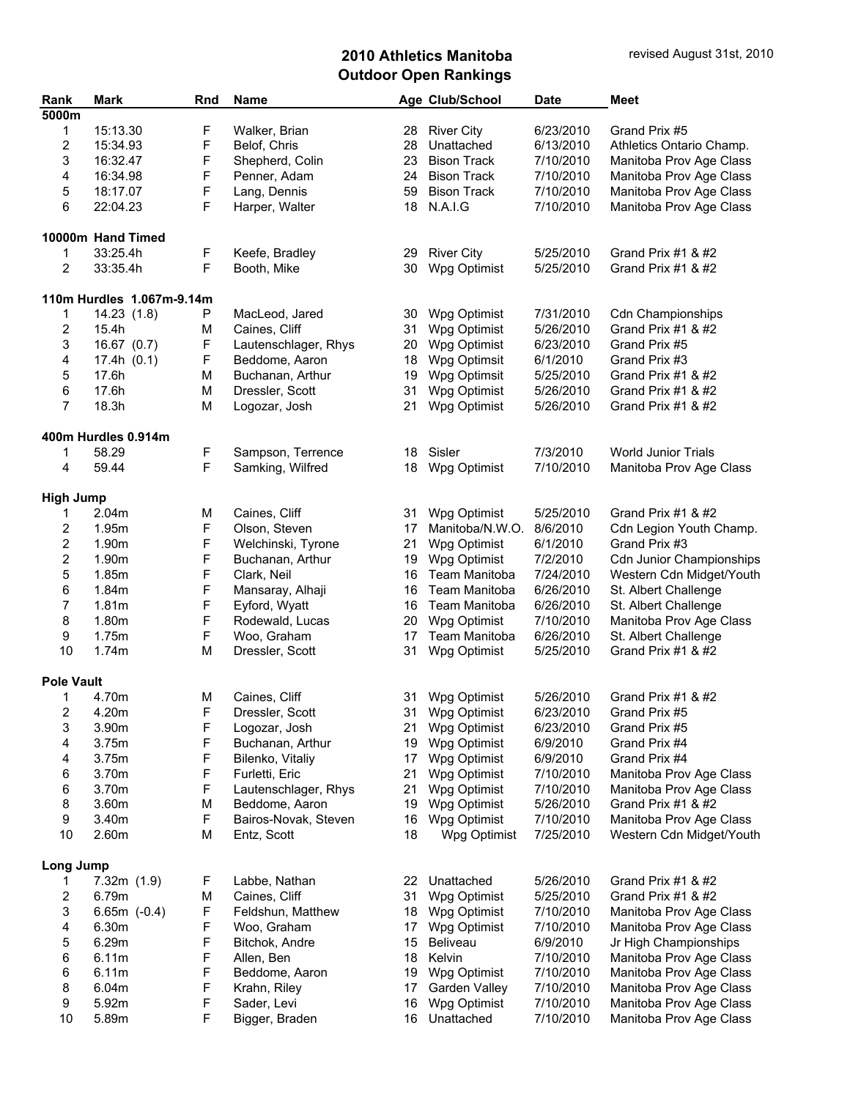| Rank                    | <b>Mark</b>               | Rnd | Name                 |    | Age Club/School    | <b>Date</b> | <b>Meet</b>                     |
|-------------------------|---------------------------|-----|----------------------|----|--------------------|-------------|---------------------------------|
| 5000m                   |                           |     |                      |    |                    |             |                                 |
| 1                       | 15:13.30                  | F   | Walker, Brian        | 28 | <b>River City</b>  | 6/23/2010   | Grand Prix #5                   |
| $\overline{\mathbf{c}}$ | 15:34.93                  | F   | Belof, Chris         | 28 | Unattached         | 6/13/2010   | Athletics Ontario Champ.        |
| 3                       | 16:32.47                  | F   | Shepherd, Colin      | 23 | <b>Bison Track</b> | 7/10/2010   | Manitoba Prov Age Class         |
| 4                       | 16:34.98                  | F   | Penner, Adam         | 24 | <b>Bison Track</b> | 7/10/2010   | Manitoba Prov Age Class         |
| 5                       | 18:17.07                  | F   | Lang, Dennis         | 59 | <b>Bison Track</b> | 7/10/2010   | Manitoba Prov Age Class         |
| 6                       | 22:04.23                  | F   | Harper, Walter       | 18 | N.A.I.G            | 7/10/2010   | Manitoba Prov Age Class         |
|                         |                           |     |                      |    |                    |             |                                 |
|                         | 10000m Hand Timed         |     |                      |    |                    |             |                                 |
| 1                       | 33:25.4h                  | F   | Keefe, Bradley       | 29 | <b>River City</b>  | 5/25/2010   | Grand Prix #1 & #2              |
| $\overline{2}$          | 33:35.4h                  | F   | Booth, Mike          | 30 | Wpg Optimist       | 5/25/2010   | Grand Prix #1 & #2              |
|                         | 110m Hurdles 1.067m-9.14m |     |                      |    |                    |             |                                 |
| 1                       | 14.23(1.8)                | P   | MacLeod, Jared       | 30 | Wpg Optimist       | 7/31/2010   | Cdn Championships               |
| 2                       | 15.4h                     | М   | Caines, Cliff        | 31 | Wpg Optimist       | 5/26/2010   | Grand Prix #1 & #2              |
| 3                       | 16.67 (0.7)               | F   | Lautenschlager, Rhys | 20 | Wpg Optimist       | 6/23/2010   | Grand Prix #5                   |
| 4                       | 17.4h(0.1)                | F   | Beddome, Aaron       | 18 | Wpg Optimsit       | 6/1/2010    | Grand Prix #3                   |
| 5                       | 17.6h                     | M   | Buchanan, Arthur     | 19 | Wpg Optimsit       | 5/25/2010   | Grand Prix #1 & #2              |
|                         |                           |     |                      |    |                    |             |                                 |
| 6                       | 17.6h                     | M   | Dressler, Scott      | 31 | Wpg Optimist       | 5/26/2010   | Grand Prix #1 & #2              |
| $\overline{7}$          | 18.3h                     | M   | Logozar, Josh        | 21 | Wpg Optimist       | 5/26/2010   | Grand Prix #1 & #2              |
|                         | 400m Hurdles 0.914m       |     |                      |    |                    |             |                                 |
| 1                       | 58.29                     | F   | Sampson, Terrence    | 18 | Sisler             | 7/3/2010    | <b>World Junior Trials</b>      |
| 4                       | 59.44                     | F   | Samking, Wilfred     | 18 | Wpg Optimist       | 7/10/2010   | Manitoba Prov Age Class         |
| <b>High Jump</b>        |                           |     |                      |    |                    |             |                                 |
|                         | 2.04m                     |     | Caines, Cliff        |    | Wpg Optimist       | 5/25/2010   | Grand Prix #1 & #2              |
| 1                       |                           | M   |                      | 31 |                    |             |                                 |
| 2                       | 1.95m                     | F   | Olson, Steven        | 17 | Manitoba/N.W.O.    | 8/6/2010    | Cdn Legion Youth Champ.         |
| $\mathbf{2}$            | 1.90m                     | F   | Welchinski, Tyrone   | 21 | Wpg Optimist       | 6/1/2010    | Grand Prix #3                   |
| $\overline{\mathbf{c}}$ | 1.90m                     | F   | Buchanan, Arthur     | 19 | Wpg Optimist       | 7/2/2010    | <b>Cdn Junior Championships</b> |
| 5                       | 1.85m                     | F   | Clark, Neil          | 16 | Team Manitoba      | 7/24/2010   | Western Cdn Midget/Youth        |
| 6                       | 1.84m                     | F   | Mansaray, Alhaji     | 16 | Team Manitoba      | 6/26/2010   | St. Albert Challenge            |
| 7                       | 1.81m                     | F   | Eyford, Wyatt        | 16 | Team Manitoba      | 6/26/2010   | St. Albert Challenge            |
| 8                       | 1.80m                     | F   | Rodewald, Lucas      | 20 | Wpg Optimist       | 7/10/2010   | Manitoba Prov Age Class         |
| 9                       | 1.75m                     | F   | Woo, Graham          | 17 | Team Manitoba      | 6/26/2010   | St. Albert Challenge            |
| 10                      | 1.74m                     | M   | Dressler, Scott      | 31 | Wpg Optimist       | 5/25/2010   | Grand Prix #1 & #2              |
| <b>Pole Vault</b>       |                           |     |                      |    |                    |             |                                 |
| 1                       | 4.70m                     | M   | Caines, Cliff        | 31 | Wpg Optimist       | 5/26/2010   | Grand Prix #1 & #2              |
| 2                       | 4.20m                     | F   | Dressler, Scott      | 31 | Wpg Optimist       | 6/23/2010   | Grand Prix #5                   |
| 3                       | 3.90m                     | F   | Logozar, Josh        | 21 | Wpg Optimist       | 6/23/2010   | Grand Prix #5                   |
|                         |                           |     |                      |    |                    |             |                                 |
| 4                       | 3.75m                     | F   | Buchanan, Arthur     | 19 | Wpg Optimist       | 6/9/2010    | Grand Prix #4                   |
| 4                       | 3.75m                     | F   | Bilenko, Vitaliy     | 17 | Wpg Optimist       | 6/9/2010    | Grand Prix #4                   |
| 6                       | 3.70m                     | F   | Furletti, Eric       | 21 | Wpg Optimist       | 7/10/2010   | Manitoba Prov Age Class         |
| 6                       | 3.70m                     | F   | Lautenschlager, Rhys | 21 | Wpg Optimist       | 7/10/2010   | Manitoba Prov Age Class         |
| 8                       | 3.60m                     | М   | Beddome, Aaron       | 19 | Wpg Optimist       | 5/26/2010   | Grand Prix #1 & #2              |
| 9                       | 3.40m                     | F   | Bairos-Novak, Steven | 16 | Wpg Optimist       | 7/10/2010   | Manitoba Prov Age Class         |
| 10                      | 2.60m                     | M   | Entz, Scott          | 18 | Wpg Optimist       | 7/25/2010   | Western Cdn Midget/Youth        |
| Long Jump               |                           |     |                      |    |                    |             |                                 |
| 1                       | 7.32m(1.9)                | F   | Labbe, Nathan        | 22 | Unattached         | 5/26/2010   | Grand Prix #1 & #2              |
| 2                       | 6.79m                     | М   | Caines, Cliff        | 31 | Wpg Optimist       | 5/25/2010   | Grand Prix #1 & #2              |
| 3                       | $6.65m (-0.4)$            | F   | Feldshun, Matthew    | 18 | Wpg Optimist       | 7/10/2010   | Manitoba Prov Age Class         |
| 4                       | 6.30m                     | F   | Woo, Graham          | 17 | Wpg Optimist       | 7/10/2010   | Manitoba Prov Age Class         |
|                         |                           | F   |                      |    |                    |             |                                 |
| 5                       | 6.29m                     |     | Bitchok, Andre       | 15 | <b>Beliveau</b>    | 6/9/2010    | Jr High Championships           |
| 6                       | 6.11m                     | F   | Allen, Ben           | 18 | Kelvin             | 7/10/2010   | Manitoba Prov Age Class         |
| 6                       | 6.11m                     | F   | Beddome, Aaron       | 19 | Wpg Optimist       | 7/10/2010   | Manitoba Prov Age Class         |
| 8                       | 6.04m                     | F   | Krahn, Riley         | 17 | Garden Valley      | 7/10/2010   | Manitoba Prov Age Class         |
| 9                       | 5.92m                     | F   | Sader, Levi          | 16 | Wpg Optimist       | 7/10/2010   | Manitoba Prov Age Class         |
| 10                      | 5.89m                     | F   | Bigger, Braden       | 16 | Unattached         | 7/10/2010   | Manitoba Prov Age Class         |